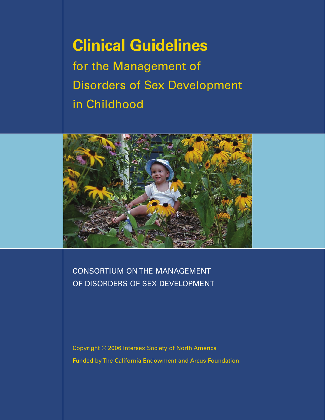# **Clinical Guidelines** for the Management of Disorders of Sex Development in Childhood



CONSORTIUM ON THE MANAGEMENT OF DISORDERS OF SEX DEVELOPMENT

Copyright © 2006 Intersex Society of North America Funded by The California Endowment and Arcus Foundation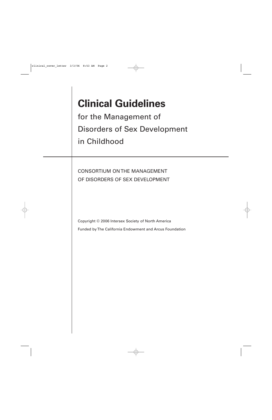# **Clinical Guidelines**

for the Management of Disorders of Sex Development in Childhood

CONSORTIUM ON THE MANAGEMENT OF DISORDERS OF SEX DEVELOPMENT

Copyright © 2006 Intersex Society of North America

Funded by The California Endowment and Arcus Foundation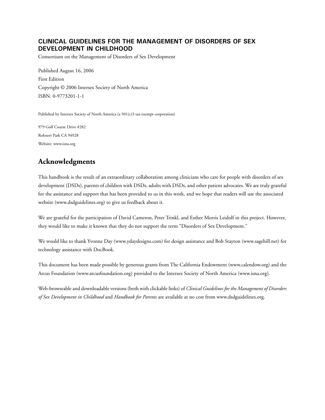#### **CLINICAL GUIDELINES FOR THE MANAGEMENT OF DISORDERS OF SEX DEVELOPMENT IN CHILDHOOD**

Consortium on the Management of Disorders of Sex Development

Published August 16, 2006 First Edition Copyright © 2006 Intersex Society of North America ISBN: 0-9773201-1-1

Published by Intersex Society of North America (a 501(c)3 tax-exempt corporation)

979 Golf Course Drive #282 Rohnert Park CA 94928 Website: [www.isna.org](http://www.isna.org)

### **Acknowledgments**

This handbook is the result of an extraordinary collaboration among clinicians who care for people with disorders of sex development (DSDs), parents of children with DSDs, adults with DSDs, and other patient advocates. We are truly grateful for the assistance and support that has been provided to us in this work, and we hope that readers will use the associated website [\(www.dsdguidelines.org\)](http://www.dsdguidelines.org) to give us feedback about it.

We are grateful for the participation of David Cameron, Peter Trinkl, and Esther Morris Leidolf in this project. However, they would like to make it known that they do not support the term "Disorders of Sex Development."

We would like to thank Yvonne Day ([www.ydaydesigns.com\)](http://www.ydaydesigns.com) for design assistance and Bob Stayton ([www.sagehill.net](http://www.sagehill.net)) for technology assistance with DocBook.

This document has been made possible by generous grants from The California Endowment [\(www.calendow.org](http://www.calendow.org)) and the Arcus Foundation [\(www.arcusfoundation.org](http://www.arcusfoundation.org)) provided to the Intersex Society of North America [\(www.isna.org](http://www.isna.org)).

Web-browseable and downloadable versions (both with clickable links) of *Clinical Guidelines for the Management of Disorders of Sex Development in Childhood* and *Handbook for Parents* are available at no cost from [www.dsdguidelines.org](http://www.dsdguidelines.org).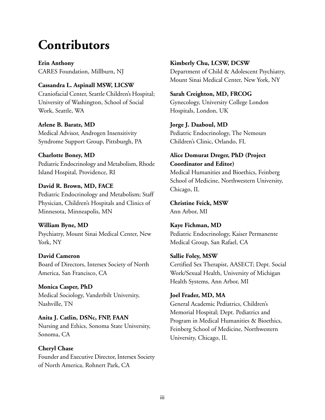# **Contributors**

**Erin Anthony** CARES Foundation, Millburn, NJ

#### **Cassandra L. Aspinall MSW, LICSW**

Craniofacial Center, Seattle Children's Hospital; University of Washington, School of Social Work, Seattle, WA

**Arlene B. Baratz, MD** Medical Advisor, Androgen Insensitivity Syndrome Support Group, Pittsburgh, PA

#### **Charlotte Boney, MD** Pediatric Endocrinology and Metabolism, Rhode Island Hospital, Providence, RI

### **David R. Brown, MD, FACE** Pediatric Endocrinology and Metabolism; Staff Physician, Children's Hospitals and Clinics of Minnesota, Minneapolis, MN

**William Byne, MD** Psychiatry, Mount Sinai Medical Center, New York, NY

### **David Cameron**

Board of Directors, Intersex Society of North America, San Francisco, CA

#### **Monica Casper, PhD** Medical Sociology, Vanderbilt University, Nashville, TN

**Anita J. Catlin, DSNc, FNP, FAAN** Nursing and Ethics, Sonoma State University, Sonoma, CA

**Cheryl Chase** Founder and Executive Director, Intersex Society of North America, Rohnert Park, CA

**Kimberly Chu, LCSW, DCSW**

Department of Child & Adolescent Psychiatry, Mount Sinai Medical Center, New York, NY

#### **Sarah Creighton, MD, FRCOG** Gynecology, University College London

Hospitals, London, UK

#### **Jorge J. Daaboul, MD**

Pediatric Endocrinology, The Nemours Children's Clinic, Orlando, FL

#### **Alice Domurat Dreger, PhD (Project Coordinator and Editor)**

Medical Humanities and Bioethics, Feinberg School of Medicine, Northwestern University, Chicago, IL

**Christine Feick, MSW** Ann Arbor, MI

### **Kaye Fichman, MD**

Pediatric Endocrinology, Kaiser Permanente Medical Group, San Rafael, CA

#### **Sallie Foley, MSW**

Certified Sex Therapist, AASECT; Dept. Social Work/Sexual Health, University of Michigan Health Systems, Ann Arbor, MI

### **Joel Frader, MD, MA**

General Academic Pediatrics, Children's Memorial Hospital; Dept. Pediatrics and Program in Medical Humanities & Bioethics, Feinberg School of Medicine, Northwestern University, Chicago, IL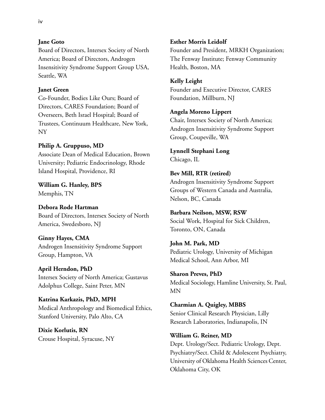#### **Jane Goto**

Board of Directors, Intersex Society of North America; Board of Directors, Androgen Insensitivity Syndrome Support Group USA, Seattle, WA

#### **Janet Green**

Co-Founder, Bodies Like Ours; Board of Directors, CARES Foundation; Board of Overseers, Beth Israel Hospital; Board of Trustees, Continuum Healthcare, New York, NY

#### **Philip A. Gruppuso, MD**

Associate Dean of Medical Education, Brown University; Pediatric Endocrinology, Rhode Island Hospital, Providence, RI

**William G. Hanley, BPS** Memphis, TN

**Debora Rode Hartman** Board of Directors, Intersex Society of North America, Swedesboro, NJ

**Ginny Hayes, CMA** Androgen Insensitivity Syndrome Support Group, Hampton, VA

**April Herndon, PhD** Intersex Society of North America; Gustavus Adolphus College, Saint Peter, MN

**Katrina Karkazis, PhD, MPH** Medical Anthropology and Biomedical Ethics, Stanford University, Palo Alto, CA

**Dixie Korlutis, RN** Crouse Hospital, Syracuse, NY

#### **Esther Morris Leidolf**

Founder and President, MRKH Organization; The Fenway Institute; Fenway Community Health, Boston, MA

#### **Kelly Leight**

Founder and Executive Director, CARES Foundation, Millburn, NJ

#### **Angela Moreno Lippert**

Chair, Intersex Society of North America; Androgen Insensitivity Syndrome Support Group, Coupeville, WA

**Lynnell Stephani Long** Chicago, IL

#### **Bev Mill, RTR (retired)**

Androgen Insensitivity Syndrome Support Groups of Western Canada and Australia, Nelson, BC, Canada

#### **Barbara Neilson, MSW, RSW**

Social Work, Hospital for Sick Children, Toronto, ON, Canada

#### **John M. Park, MD**

Pediatric Urology, University of Michigan Medical School, Ann Arbor, MI

**Sharon Preves, PhD** Medical Sociology, Hamline University, St. Paul, MN

**Charmian A. Quigley, MBBS** Senior Clinical Research Physician, Lilly Research Laboratories, Indianapolis, IN

#### **William G. Reiner, MD**

Dept. Urology/Sect. Pediatric Urology, Dept. Psychiatry/Sect. Child & Adolescent Psychiatry, University of Oklahoma Health Sciences Center, Oklahoma City, OK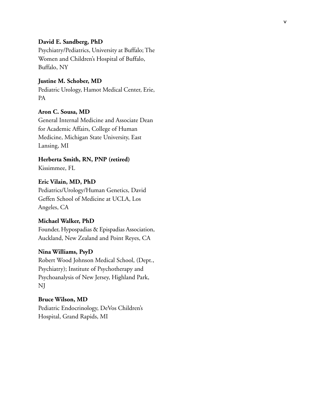#### **David E. Sandberg, PhD**

Psychiatry/Pediatrics, University at Buffalo; The Women and Children's Hospital of Buffalo, Buffalo, NY

#### **Justine M. Schober, MD**

Pediatric Urology, Hamot Medical Center, Erie, PA

#### **Aron C. Sousa, MD**

General Internal Medicine and Associate Dean for Academic Affairs, College of Human Medicine, Michigan State University, East Lansing, MI

**Herberta Smith, RN, PNP (retired)**

Kissimmee, FL

#### **Eric Vilain, MD, PhD**

Pediatrics/Urology/Human Genetics, David Geffen School of Medicine at UCLA, Los Angeles, CA

#### **Michael Walker, PhD**

Founder, Hypospadias & Epispadias Association, Auckland, New Zealand and Point Reyes, CA

#### **Nina Williams, PsyD**

Robert Wood Johnson Medical School, (Dept., Psychiatry); Institute of Psychotherapy and Psychoanalysis of New Jersey, Highland Park, NJ

**Bruce Wilson, MD** Pediatric Endocrinology, DeVos Children' s Hospital, Grand Rapids, MI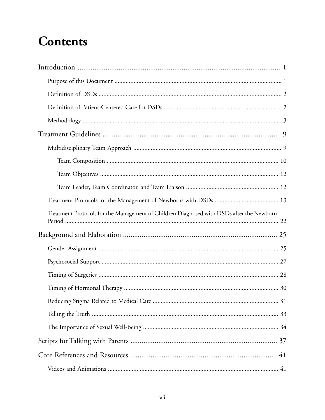# **Contents**

| Treatment Protocols for the Management of Children Diagnosed with DSDs after the Newborn |  |  |
|------------------------------------------------------------------------------------------|--|--|
|                                                                                          |  |  |
|                                                                                          |  |  |
|                                                                                          |  |  |
|                                                                                          |  |  |
|                                                                                          |  |  |
|                                                                                          |  |  |
|                                                                                          |  |  |
|                                                                                          |  |  |
|                                                                                          |  |  |
|                                                                                          |  |  |
|                                                                                          |  |  |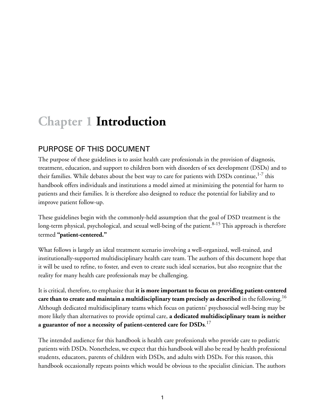# <span id="page-9-0"></span>**Chapter 1 Introduction**

### <span id="page-9-1"></span>PURPOSE OF THIS DOCUMENT

The purpose of these guidelines is to assist health care professionals in the provision of diagnosis, treatment, education, and support to children born with disorders of sex development (DSDs) and to their families. While debates about the best way to care for patients with DSDs continue, $^{1-7}$  $^{1-7}$  $^{1-7}$  $^{1-7}$  this handbook offers individuals and institutions a model aimed at minimizing the potential for harm to patients and their families. It is therefore also designed to reduce the potential for liability and to improve patient follow-up.

These guidelines begin with the commonly-held assumption that the goal of DSD treatment is the long-term physical, psychological, and sexual well-being of the patient.<sup>[8-](#page-55-3)[15](#page-56-0)</sup> This approach is therefore termed **"patient-centered."**

What follows is largely an ideal treatment scenario involving a well-organized, well-trained, and institutionally-supported multidisciplinary health care team. The authors of this document hope that it will be used to refine, to foster, and even to create such ideal scenarios, but also recognize that the reality for many health care professionals may be challenging.

It is critical, therefore, to emphasize that **it is more important to focus on providing patient-centered care than to create and maintain a multidisciplinary team precisely as described** in the following.[16](#page-56-1) Although dedicated multidisciplinary teams which focus on patients' psychosocial well-being may be more likely than alternatives to provide optimal care, **a dedicated multidisciplinary team is neither a guarantor of nor a necessity of patient-centered care for DSDs**. [17](#page-56-2)

The intended audience for this handbook is health care professionals who provide care to pediatric patients with DSDs. Nonetheless, we expect that this handbook will also be read by health professional students, educators, parents of children with DSDs, and adults with DSDs. For this reason, this handbook occasionally repeats points which would be obvious to the specialist clinician. The authors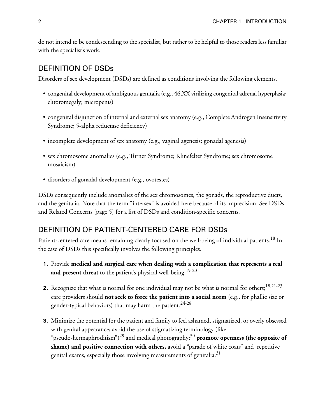<span id="page-10-0"></span>do not intend to be condescending to the specialist, but rather to be helpful to those readers less familiar with the specialist's work.

#### DEFINITION OF DSDs

Disorders of sex development (DSDs) are defined as conditions involving the following elements.

- congenital development of ambiguous genitalia (e.g., 46,XX virilizing congenital adrenal hyperplasia; clitoromegaly; micropenis)
- congenital disjunction of internal and external sex anatomy (e.g., Complete Androgen Insensitivity Syndrome; 5-alpha reductase deficiency)
- incomplete development of sex anatomy (e.g., vaginal agenesis; gonadal agenesis)
- sex chromosome anomalies (e.g., Turner Syndrome; Klinefelter Syndrome; sex chromosome mosaicism)
- disorders of gonadal development (e.g., ovotestes)

<span id="page-10-1"></span>DSDs consequently include anomalies of the sex chromosomes, the gonads, the reproductive ducts, and the genitalia. Note that the term "intersex" is avoided here because of its imprecision. See [DSDs](#page-13-0) [and Related Concerns \[page 5\]](#page-13-0) for a list of DSDs and condition-specific concerns.

#### DEFINITION OF PATIENT-CENTERED CARE FOR DSDs

Patient-centered care means remaining clearly focused on the well-being of individual patients.<sup>[18](#page-56-3)</sup> In the case of DSDs this specifically involves the following principles.

- **1.** Provide **medical and surgical care when dealing with a complication that represents a real and present threat** to the patient's physical well-being.<sup>[19](#page-56-4)[-20](#page-56-5)</sup>
- **2.** Recognize that what is normal for one individual may not be what is normal for others;<sup>[18](#page-56-3)[,21](#page-56-6)[-23](#page-56-7)</sup> care providers should **not seek to force the patient into a social norm** (e.g., for phallic size or gender-typical behaviors) that may harm the patient. $24-28$  $24-28$
- **3.** Minimize the potential for the patient and family to feel ashamed, stigmatized, or overly obsessed with genital appearance; avoid the use of stigmatizing terminology (like "pseudo-hermaphroditism")<sup>[29](#page-57-1)</sup> and medical photography;<sup>[30](#page-57-2)</sup>  $\boldsymbol{p}$ romote o $\boldsymbol{p}$ enness (the o $\boldsymbol{p}$ posite of **shame) and positive connection with others,** avoid a "parade of white coats" and repetitive genital exams, especially those involving measurements of genitalia.<sup>[31](#page-57-3)</sup>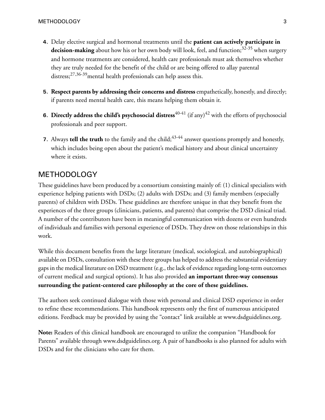- **4.** Delay elective surgical and hormonal treatments until the **patient can actively participate in** decision-making about how his or her own body will look, feel, and function;<sup>[32](#page-57-4)[-35](#page-57-5)</sup> when surgery and hormone treatments are considered, health care professionals must ask themselves whether they are truly needed for the benefit of the child or are being offered to allay parental distress;  $27,36-39$  $27,36-39$  $27,36-39$  $27,36-39$  mental health professionals can help assess this.
- **5. Respect parents by addressing their concerns and distress** empathetically, honestly, and directly; if parents need mental health care, this means helping them obtain it.
- **6. Directly address the child's psychosocial distress**  $40-41$  $40-41$  (if any) $42$  with the efforts of psychosocial professionals and peer support.
- <span id="page-11-0"></span>**7.** Always **tell the truth** to the family and the child;<sup>[43](#page-58-2)[-44](#page-58-3)</sup> answer questions promptly and honestly, which includes being open about the patient's medical history and about clinical uncertainty where it exists.

### METHODOLOGY

These guidelines have been produced by a consortium consisting mainly of: (1) clinical specialists with experience helping patients with DSDs; (2) adults with DSDs; and (3) family members (especially parents) of children with DSDs. These guidelines are therefore unique in that they benefit from the experiences of the three groups (clinicians, patients, and parents) that comprise the DSD clinical triad. A number of the contributors have been in meaningful communication with dozens or even hundreds of individuals and families with personal experience of DSDs. They drew on those relationships in this work.

While this document benefits from the large literature (medical, sociological, and autobiographical) available on DSDs, consultation with these three groups has helped to address the substantial evidentiary gaps in the medical literature on DSD treatment (e.g., the lack of evidence regarding long-term outcomes of current medical and surgical options). It has also provided **an important three-way consensus surrounding the patient-centered care philosophy at the core of these guidelines.**

The authors seek continued dialogue with those with personal and clinical DSD experience in order to refine these recommendations. This handbook represents only the first of numerous anticipated editions. Feedback may be provided by using the "contact" link available at [www.dsdguidelines.org.](http://www.dsdguidelines.org)

**Note:** Readers of this clinical handbook are encouraged to utilize the companion "Handbook for Parents" available through [www.dsdguidelines.org](http://www.dsdguidelines.org). A pair of handbooks is also planned for adults with DSDs and for the clinicians who care for them.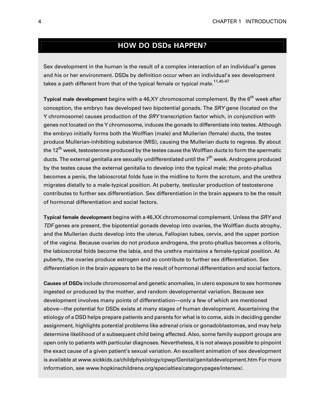#### **HOW DO DSDs HAPPEN?**

Sex development in the human is the result of a complex interaction of an individual's genes and his or her environment. DSDs by definition occur when an individual's sex development takes a path different from that of the typical female or typical male.<sup>[11,](#page-55-4)[45](#page-58-4)-[47](#page-58-5)</sup>

**Typical male development** begins with a 46,XY chromosomal complement. By the 6 th week after conception, the embryo has developed two bipotential gonads. The SRY gene (located on the Y chromosome) causes production of the SRY transcription factor which, in conjunction with genes not located on the Y chromosome, induces the gonads to differentiate into testes. Although the embryo initially forms both the Wolffian (male) and Mullerian (female) ducts, the testes produce Mullerian-inhibiting substance (MIS), causing the Mullerian ducts to regress. By about the 12<sup>th</sup> week, testosterone produced by the testes cause the Wolffian ducts to form the spermatic ducts. The external genitalia are sexually undifferentiated until the 7<sup>th</sup> week. Androgens produced by the testes cause the external genitalia to develop into the typical male; the proto-phallus becomes a penis, the labioscrotal folds fuse in the midline to form the scrotum, and the urethra migrates distally to a male-typical position. At puberty, testicular production of testosterone contributes to further sex differentiation. Sex differentiation in the brain appears to be the result of hormonal differentiation and social factors.

**Typical female development** begins with a 46,XX chromosomal complement. Unless the SRY and TDF genes are present, the bipotential gonads develop into ovaries, the Wolffian ducts atrophy, and the Mullerian ducts develop into the uterus, Fallopian tubes, cervix, and the upper portion of the vagina. Because ovaries do not produce androgens, the proto-phallus becomes a clitoris, the labioscrotal folds become the labia, and the urethra maintains a female-typical position. At puberty, the ovaries produce estrogen and so contribute to further sex differentiation. Sex differentiation in the brain appears to be the result of hormonal differentiation and social factors.

**Causes of DSDs** include chromosomal and genetic anomalies, in utero exposure to sex hormones ingested or produced by the mother, and random developmental variation. Because sex development involves many points of differentiation—only a few of which are mentioned above—the potential for DSDs exists at many stages of human development. Ascertaining the etiology of a DSD helps prepare patients and parents for what is to come, aids in deciding gender assignment, highlights potential problems like adrenal crisis or gonadoblastomas, and may help determine likelihood of a subsequent child being affected. Also, some family support groups are open only to patients with particular diagnoses. Nevertheless, it is not always possible to pinpoint the exact cause of a given patient's sexual variation. An excellent animation of sex development is available at [www.sickkids.ca/childphysiology/cpwp/Genital/genitaldevelopment.htm](http://www.sickkids.ca/childphysiology/cpwp/Genital/genitaldevelopment.htm) For more information, see [www.hopkinschildrens.org/specialties/categorypages/intersex/.](http://www.hopkinschildrens.org/specialties/categorypages/intersex/)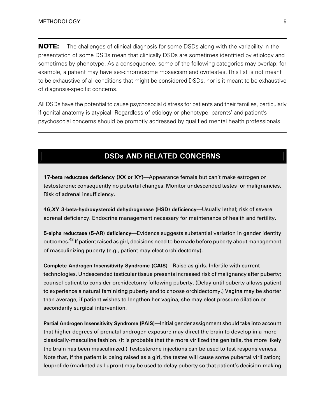**NOTE:** The challenges of clinical diagnosis for some DSDs along with the variability in the presentation of some DSDs mean that clinically DSDs are sometimes identified by etiology and sometimes by phenotype. As a consequence, some of the following categories may overlap; for example, a patient may have sex-chromosome mosaicism and ovotestes. This list is not meant to be exhaustive of all conditions that might be considered DSDs, nor is it meant to be exhaustive of diagnosis-specific concerns.

<span id="page-13-0"></span>All DSDs have the potential to cause psychosocial distress for patients and their families, particularly if genital anatomy is atypical. Regardless of etiology or phenotype, parents' and patient's psychosocial concerns should be promptly addressed by qualified mental health professionals.

### **DSDs AND RELATED CONCERNS**

**17-beta reductase deficiency (XX or XY)**—Appearance female but can't make estrogen or testosterone; consequently no pubertal changes. Monitor undescended testes for malignancies. Risk of adrenal insufficiency.

**46,XY 3-beta-hydroxysteroid dehydrogenase (HSD) deficiency**—Usually lethal; risk of severe adrenal deficiency. Endocrine management necessary for maintenance of health and fertility.

**5-alpha reductase (5-AR) deficiency**—Evidence suggests substantial variation in gender identity outcomes.<sup>[48](#page-58-6)</sup> If patient raised as girl, decisions need to be made before puberty about management of masculinizing puberty (e.g., patient may elect orchidectomy).

**Complete Androgen Insensitivity Syndrome (CAIS)**—Raise as girls. Infertile with current technologies. Undescended testicular tissue presents increased risk of malignancyafter puberty; counsel patient to consider orchidectomy following puberty. (Delay until puberty allows patient to experience a natural feminizing puberty and to choose orchidectomy.) Vagina may be shorter than average; if patient wishes to lengthen her vagina, she may elect pressure dilation or secondarily surgical intervention.

**Partial Androgen Insensitivity Syndrome (PAIS)—Initial gender assignment should take into account** that higher degrees of prenatal androgen exposure may direct the brain to develop in a more classically-masculine fashion. (It is probable that the more virilized the genitalia, the more likely the brain has been masculinized.) Testosterone injections can be used to test responsiveness. Note that, if the patient is being raised as a girl, the testes will cause some pubertal virilization; leuprolide (marketed as Lupron) may be used to delay puberty so that patient's decision-making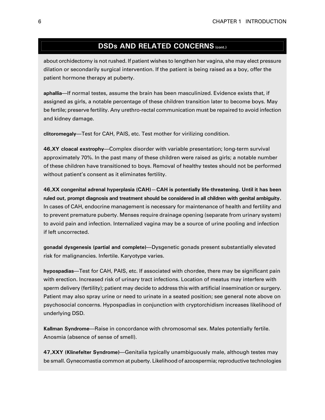### **DSDs AND RELATED CONCERNS (cont.)**

about orchidectomy is not rushed. If patient wishes to lengthen her vagina, she may elect pressure dilation or secondarily surgical intervention. If the patient is being raised as a boy, offer the patient hormone therapy at puberty.

**aphallia**—If normal testes, assume the brain has been masculinized. Evidence exists that, if assigned as girls, a notable percentage of these children transition later to become boys. May be fertile; preserve fertility. Any urethro-rectal communication must be repaired to avoid infection and kidney damage.

**clitoromegaly**—Test for CAH, PAIS, etc. Test mother for virilizing condition.

**46,XY cloacal exstrophy**—Complex disorder with variable presentation; long-term survival approximately 70%. In the past many of these children were raised as girls; a notable number of these children have transitioned to boys. Removal of healthy testes should not be performed without patient's consent as it eliminates fertility.

**46,XX congenital adrenal hyperplasia (CAH)—CAH is potentially life-threatening. Until it has been ruled out, prompt diagnosis and treatment should be considered in all children with genital ambiguity.** In cases of CAH, endocrine management is necessary for maintenance of health and fertility and to prevent premature puberty. Menses require drainage opening (separate from urinary system) to avoid pain and infection. Internalized vagina may be a source of urine pooling and infection if left uncorrected.

**gonadal dysgenesis (partial and complete)**—Dysgenetic gonads present substantially elevated risk for malignancies. Infertile. Karyotype varies.

**hypospadias**—Test for CAH, PAIS, etc. If associated with chordee, there may be significant pain with erection. Increased risk of urinary tract infections. Location of meatus may interfere with sperm delivery (fertility); patient may decide to address this with artificial insemination or surgery. Patient may also spray urine or need to urinate in a seated position; see general note above on psychosocial concerns. Hypospadias in conjunction with cryptorchidism increases likelihood of underlying DSD.

**Kallman Syndrome**—Raise in concordance with chromosomal sex. Males potentially fertile. Anosmia (absence of sense of smell).

**47,XXY (Klinefelter Syndrome)**—Genitalia typically unambiguously male, although testes may be small. Gynecomastia common at puberty. Likelihood of azoospermia; reproductive technologies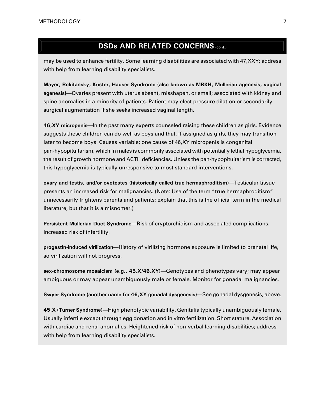### **DSDs AND RELATED CONCERNS (cont.)**

may be used to enhance fertility. Some learning disabilities are associated with 47,XXY; address with help from learning disability specialists.

**Mayer, Rokitansky, Kuster, Hauser Syndrome (also known as MRKH, Mullerian agenesis, vaginal agenesis)**—Ovaries present with uterus absent, misshapen, or small; associated with kidney and spine anomalies in a minority of patients. Patient may elect pressure dilation or secondarily surgical augmentation if she seeks increased vaginal length.

**46,XY micropenis**—In the past many experts counseled raising these children as girls. Evidence suggests these children can do well as boys and that, if assigned as girls, they may transition later to become boys. Causes variable; one cause of 46,XY micropenis is congenital pan-hypopituitarism, which in males is commonlyassociated with potentiallylethal hypoglycemia, the result of growth hormone and ACTH deficiencies. Unless the pan-hypopituitarism is corrected, this hypoglycemia is typically unresponsive to most standard interventions.

**ovary and testis, and/or ovotestes (historically called true hermaphroditism)**—Testicular tissue presents an increased risk for malignancies. (Note: Use of the term "true hermaphroditism" unnecessarily frightens parents and patients; explain that this is the official term in the medical literature, but that it is a misnomer.)

**Persistent Mullerian Duct Syndrome**—Risk of cryptorchidism and associated complications. Increased risk of infertility.

**progestin-induced virilization**—History of virilizing hormone exposure is limited to prenatal life, so virilization will not progress.

**sex-chromosome mosaicism (e.g., 45,X/46,XY)**—Genotypes and phenotypes vary; may appear ambiguous or may appear unambiguously male or female. Monitor for gonadal malignancies.

**Swyer Syndrome (another name for 46,XY gonadal dysgenesis)**—See gonadal dysgenesis,above.

**45,X (Turner Syndrome)**—High phenotypicvariability. Genitaliatypically unambiguouslyfemale. Usually infertile except through egg donation and in vitro fertilization. Short stature. Association with cardiac and renal anomalies. Heightened risk of non-verbal learning disabilities; address with help from learning disability specialists.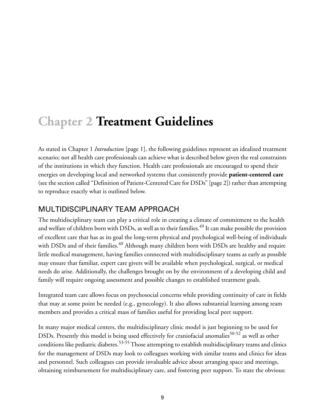## <span id="page-17-0"></span>**Chapter 2 Treatment Guidelines**

As stated in Chapter 1 *[Introduction](#page-9-0)* [\[page 1\],](#page-9-0) the following guidelines represent an idealized treatment scenario; not all health care professionals can achieve what is described below given the real constraints of the institutions in which they function. Health care professionals are encouraged to spend their energies on developing local and networked systems that consistently provide **patient-centered care** (see [the section called "Definition of Patient-Centered Care for DSDs" \[page 2\]](#page-10-1)) rather than attempting to reproduce exactly what is outlined below.

### <span id="page-17-1"></span>MULTIDISCIPLINARY TEAM APPROACH

The multidisciplinary team can play a critical role in creating a climate of commitment to the health and welfare of children born with DSDs, as well as to their families.<sup>[49](#page-58-7)</sup> It can make possible the provision of excellent care that has as its goal the long-term physical and psychological well-being of individuals with DSDs and of their families.<sup>[40](#page-57-9)</sup> Although many children born with DSDs are healthy and require little medical management, having families connected with multidisciplinary teams as early as possible may ensure that familiar, expert care givers will be available when psychological, surgical, or medical needs do arise. Additionally, the challenges brought on by the environment of a developing child and family will require ongoing assessment and possible changes to established treatment goals.

Integrated team care allows focus on psychosocial concerns while providing continuity of care in fields that may at some point be needed (e.g., gynecology). It also allows substantial learning among team members and provides a critical mass of families useful for providing local peer support.

In many major medical centers, the multidisciplinary clinic model is just beginning to be used for DSDs. Presently this model is being used effectively for craniofacial anomalies<sup>[50](#page-58-8)[-52](#page-58-9)</sup> as well as other conditions like pediatric diabetes.<sup>[53](#page-58-10)[-55](#page-58-11)</sup> Those attempting to establish multidisciplinary teams and clinics for the management of DSDs may look to colleagues working with similar teams and clinics for ideas and personnel. Such colleagues can provide invaluable advice about arranging space and meetings, obtaining reimbursement for multidisciplinary care, and fostering peer support. To state the obvious: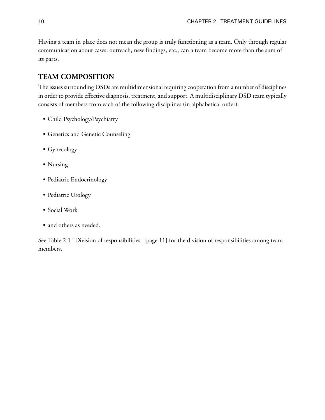Having a team in place does not mean the group is truly functioning as a team. Only through regular communication about cases, outreach, new findings, etc., can a team become more than the sum of its parts.

#### <span id="page-18-0"></span>**TEAM COMPOSITION**

The issues surrounding DSDs are multidimensional requiring cooperation from a number of disciplines in order to provide effective diagnosis, treatment, and support. A multidisciplinary DSD team typically consists of members from each of the following disciplines (in alphabetical order):

- Child Psychology/Psychiatry
- Genetics and Genetic Counseling
- Gynecology
- Nursing
- Pediatric Endocrinology
- Pediatric Urology
- Social Work
- and others as needed.

See [Table 2.1 "Division of responsibilities" \[page 11\]](#page-19-0) for the division of responsibilities among team members.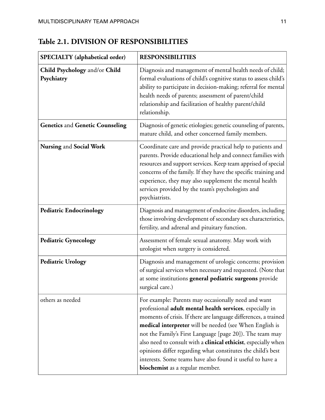| <b>SPECIALTY</b> (alphabetical order)       | <b>RESPONSIBILITIES</b>                                                                                                                                                                                                                                                                                                                                                                                                                                                                                                                                   |
|---------------------------------------------|-----------------------------------------------------------------------------------------------------------------------------------------------------------------------------------------------------------------------------------------------------------------------------------------------------------------------------------------------------------------------------------------------------------------------------------------------------------------------------------------------------------------------------------------------------------|
| Child Psychology and/or Child<br>Psychiatry | Diagnosis and management of mental health needs of child;<br>formal evaluations of child's cognitive status to assess child's<br>ability to participate in decision-making; referral for mental<br>health needs of parents; assessment of parent/child<br>relationship and facilitation of healthy parent/child<br>relationship.                                                                                                                                                                                                                          |
| <b>Genetics and Genetic Counseling</b>      | Diagnosis of genetic etiologies; genetic counseling of parents,<br>mature child, and other concerned family members.                                                                                                                                                                                                                                                                                                                                                                                                                                      |
| Nursing and Social Work                     | Coordinate care and provide practical help to patients and<br>parents. Provide educational help and connect families with<br>resources and support services. Keep team apprised of special<br>concerns of the family. If they have the specific training and<br>experience, they may also supplement the mental health<br>services provided by the team's psychologists and<br>psychiatrists.                                                                                                                                                             |
| <b>Pediatric Endocrinology</b>              | Diagnosis and management of endocrine disorders, including<br>those involving development of secondary sex characteristics,<br>fertility, and adrenal and pituitary function.                                                                                                                                                                                                                                                                                                                                                                             |
| <b>Pediatric Gynecology</b>                 | Assessment of female sexual anatomy. May work with<br>urologist when surgery is considered.                                                                                                                                                                                                                                                                                                                                                                                                                                                               |
| <b>Pediatric Urology</b>                    | Diagnosis and management of urologic concerns; provision<br>of surgical services when necessary and requested. (Note that<br>at some institutions general pediatric surgeons provide<br>surgical care.)                                                                                                                                                                                                                                                                                                                                                   |
| others as needed                            | For example: Parents may occasionally need and want<br>professional adult mental health services, especially in<br>moments of crisis. If there are language differences, a trained<br>medical interpreter will be needed (see When English is<br>not the Family's First Language [page 20]). The team may<br>also need to consult with a <b>clinical ethicist</b> , especially when<br>opinions differ regarding what constitutes the child's best<br>interests. Some teams have also found it useful to have a<br><b>biochemist</b> as a regular member. |

### <span id="page-19-0"></span>**Table 2.1. DIVISION OF RESPONSIBILITIES**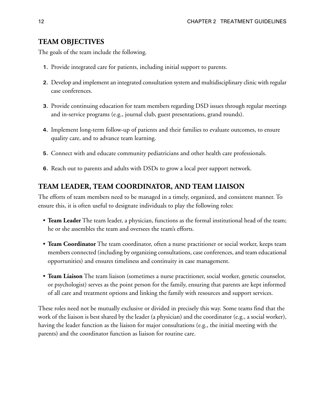#### <span id="page-20-0"></span>**TEAM OBJECTIVES**

The goals of the team include the following.

- **1.** Provide integrated care for patients, including initial support to parents.
- **2.** Develop and implement an integrated consultation system and multidisciplinary clinic with regular case conferences.
- **3.** Provide continuing education for team members regarding DSD issues through regular meetings and in-service programs (e.g., journal club, guest presentations, grand rounds).
- **4.** Implement long-term follow-up of patients and their families to evaluate outcomes, to ensure quality care, and to advance team learning.
- **5.** Connect with and educate community pediatricians and other health care professionals.
- <span id="page-20-1"></span>**6.** Reach out to parents and adults with DSDs to grow a local peer support network.

#### **TEAM LEADER, TEAM COORDINATOR, AND TEAM LIAISON**

The efforts of team members need to be managed in a timely, organized, and consistent manner. To ensure this, it is often useful to designate individuals to play the following roles:

- **Team Leader** The team leader, a physician, functions as the formal institutional head of the team; he or she assembles the team and oversees the team's efforts.
- **Team Coordinator** The team coordinator, often a nurse practitioner or social worker, keeps team members connected (including by organizing consultations, case conferences, and team educational opportunities) and ensures timeliness and continuity in case management.
- **Team Liaison** The team liaison (sometimes a nurse practitioner, social worker, genetic counselor, or psychologist) serves as the point person for the family, ensuring that parents are kept informed of all care and treatment options and linking the family with resources and support services.

These roles need not be mutually exclusive or divided in precisely this way. Some teams find that the work of the liaison is best shared by the leader (a physician) and the coordinator (e.g., a social worker), having the leader function as the liaison for major consultations (e.g., the initial meeting with the parents) and the coordinator function as liaison for routine care.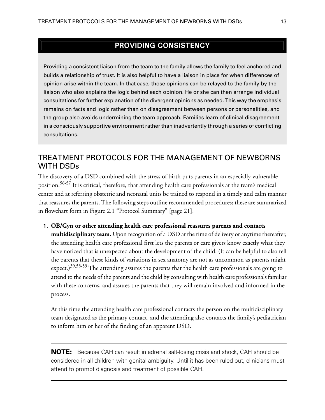### **PROVIDING CONSISTENCY**

Providing a consistent liaison from the team to the family allows the family to feel anchored and builds a relationship of trust. It is also helpful to have a liaison in place for when differences of opinion arise within the team. In that case, those opinions can be relayed to the family by the liaison who also explains the logic behind each opinion. He or she can then arrange individual consultations for further explanation of the divergent opinions as needed. This way the emphasis remains on facts and logic rather than on disagreement between persons or personalities, and the group also avoids undermining the team approach. Families learn of clinical disagreement in a consciously supportive environment rather than inadvertently through a series of conflicting consultations.

### <span id="page-21-0"></span>TREATMENT PROTOCOLS FOR THE MANAGEMENT OF NEWBORNS WITH DSDs

The discovery of a DSD combined with the stress of birth puts parents in an especially vulnerable position.[56-](#page-59-0)[57](#page-59-1) It is critical, therefore, that attending health care professionals at the team's medical center and at referring obstetric and neonatal units be trained to respond in a timely and calm manner that reassures the parents. The following steps outline recommended procedures; these are summarized in flowchart form in [Figure 2.1 "Protocol Summary" \[page 21\]](#page-29-0).

**1. OB/Gyn or other attending health care professional reassures parents and contacts multidisciplinary team.** Upon recognition of a DSD at the time of delivery or anytime thereafter, the attending health care professional first lets the parents or care givers know exactly what they have noticed that is unexpected about the development of the child. (It can be helpful to also tell the parents that these kinds of variations in sex anatomy are not as uncommon as parents might expect.)<sup>[39](#page-57-8),[58](#page-59-2)[-59](#page-59-3)</sup> The attending assures the parents that the health care professionals are going to attend to the needs of the parents and the child by consulting with health care professionals familiar with these concerns, and assures the parents that they will remain involved and informed in the process.

At this time the attending health care professional contacts the person on the multidisciplinary team designated as the primary contact, and the attending also contacts the family's pediatrician to inform him or her of the finding of an apparent DSD.

**NOTE:** Because CAH can result in adrenal salt-losing crisis and shock, CAH should be considered in all children with genital ambiguity. Until it has been ruled out, clinicians must attend to prompt diagnosis and treatment of possible CAH.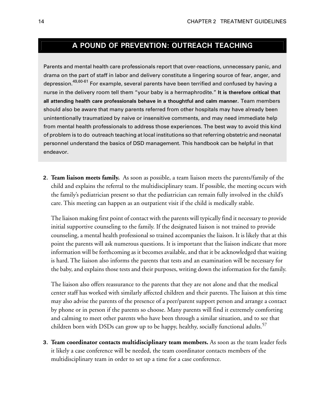### **A POUND OF PREVENTION: OUTREACH TEACHING**

Parents and mental health care professionals report that over-reactions, unnecessary panic, and drama on the part of staff in labor and delivery constitute a lingering source of fear, anger, and depression.<sup>[49](#page-58-7)[,60-](#page-59-4)[61](#page-59-5)</sup> For example, several parents have been terrified and confused by having a nurse in the delivery room tell them "your baby is a hermaphrodite." **It is therefore critical that all attending health care professionals behave in a thoughtful and calm manner.** Team members should also be aware that many parents referred from other hospitals may have already been unintentionally traumatized by naive or insensitive comments, and may need immediate help from mental health professionals to address those experiences. The best way to avoid this kind of problem is to do outreach teaching at local institutions so that referring obstetricand neonatal personnel understand the basics of DSD management. This handbook can be helpful in that endeavor.

**2. Team liaison meets family.** As soon as possible, a team liaison meets the parents/family of the child and explains the referral to the multidisciplinary team. If possible, the meeting occurs with the family's pediatrician present so that the pediatrician can remain fully involved in the child's care. This meeting can happen as an outpatient visit if the child is medically stable.

The liaison making first point of contact with the parents will typically find it necessary to provide initial supportive counseling to the family. If the designated liaison is not trained to provide counseling, a mental health professional so trained accompanies the liaison. It is likely that at this point the parents will ask numerous questions. It is important that the liaison indicate that more information will be forthcoming as it becomes available, and that it be acknowledged that waiting is hard. The liaison also informs the parents that tests and an examination will be necessary for the baby, and explains those tests and their purposes, writing down the information for the family.

The liaison also offers reassurance to the parents that they are not alone and that the medical center staff has worked with similarly affected children and their parents. The liaison at this time may also advise the parents of the presence of a peer/parent support person and arrange a contact by phone or in person if the parents so choose. Many parents will find it extremely comforting and calming to meet other parents who have been through a similar situation, and to see that children born with DSDs can grow up to be happy, healthy, socially functional adults.<sup>[57](#page-59-1)</sup>

**3. Team coordinator contacts multidisciplinary team members.** As soon as the team leader feels it likely a case conference will be needed, the team coordinator contacts members of the multidisciplinary team in order to set up a time for a case conference.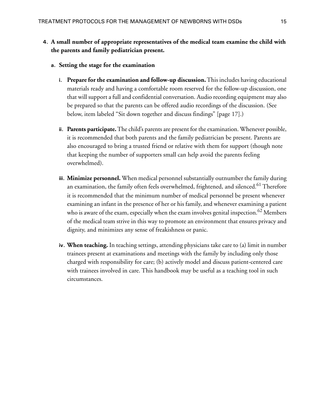#### **4. A small number of appropriate representatives of the medical team examine the child with the parents and family pediatrician present.**

- **a. Setting the stage for the examination**
	- **i. Prepare for the examination and follow-up discussion.**This includes having educational materials ready and having a comfortable room reserved for the follow-up discussion, one that will support a full and confidential conversation. Audio recording equipment may also be prepared so that the parents can be offered audio recordings of the discussion. (See below, item labeled ["Sit down together and discuss findings" \[page 17\]](#page-25-0).)
	- **ii. Parents participate.**The child's parents are present for the examination. Whenever possible, it is recommended that both parents and the family pediatrician be present. Parents are also encouraged to bring a trusted friend or relative with them for support (though note that keeping the number of supporters small can help avoid the parents feeling overwhelmed).
	- **iii. Minimize personnel.** When medical personnel substantially outnumber the family during an examination, the family often feels overwhelmed, frightened, and silenced.<sup>[61](#page-59-5)</sup> Therefore it is recommended that the minimum number of medical personnel be present whenever examining an infant in the presence of her or his family, and whenever examining a patient who is aware of the exam, especially when the exam involves genital inspection.<sup>[62](#page-59-6)</sup> Members of the medical team strive in this way to promote an environment that ensures privacy and dignity, and minimizes any sense of freakishness or panic.
	- **iv. When teaching.** In teaching settings, attending physicians take care to (a) limit in number trainees present at examinations and meetings with the family by including only those charged with responsibility for care; (b) actively model and discuss patient-centered care with trainees involved in care. This handbook may be useful as a teaching tool in such circumstances.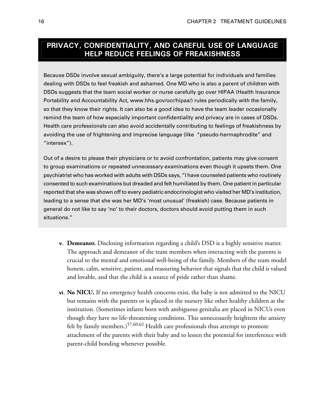### **PRIVACY, CONFIDENTIALITY, AND CAREFUL USE OF LANGUAGE HELP REDUCE FEELINGS OF FREAKISHNESS**

Because DSDs involve sexual ambiguity, there's a large potential for individuals and families dealing with DSDs to feel freakish and ashamed. One MD who is also a parent of children with DSDs suggests that the team social worker or nurse carefully go over HIPAA (Health Insurance Portability and Accountability Act, [www.hhs.gov/ocr/hipaa/](http://www.hhs.gov/ocr/hipaa/)) rules periodically with the family, so that they know their rights. It can also be a good idea to have the team leader occasionally remind the team of how especially important confidentiality and privacy are in cases of DSDs. Health care professionals can also avoid accidentally contributing to feelings of freakishness by avoiding the use of frightening and imprecise language (like "pseudo-hermaphrodite" and "intersex").

Out of a desire to please their physicians or to avoid confrontation, patients may give consent to group examinations or repeated unnecessary examinations even though it upsets them. One psychiatrist who has worked with adults with DSDs says, "I have counseled patients who routinely consented to such examinations but dreaded and felt humiliated bythem. One patient in particular reported that she was shown off to every pediatric endocrinologist who visited her MD's institution, leading to a sense that she was her MD's 'most unusual' (freakish) case. Because patients in general do not like to say 'no' to their doctors, doctors should avoid putting them in such situations."

- **v. Demeanor.** Disclosing information regarding a child's DSD is a highly sensitive matter. The approach and demeanor of the team members when interacting with the parents is crucial to the mental and emotional well-being of the family. Members of the team model honest, calm, sensitive, patient, and reassuring behavior that signals that the child is valued and lovable, and that the child is a source of pride rather than shame.
- **vi. No NICU.** If no emergency health concerns exist, the baby is not admitted to the NICU but remains with the parents or is placed in the nursery like other healthy children at the institution. (Sometimes infants born with ambiguous genitalia are placed in NICUs even though they have no life-threatening conditions. This unnecessarily heightens the anxiety felt by family members.)<sup>[57,](#page-59-1)[60,](#page-59-4)[62](#page-59-6)</sup> Health care professionals thus attempt to promote attachment of the parents with their baby and to lessen the potential for interference with parent-child bonding whenever possible.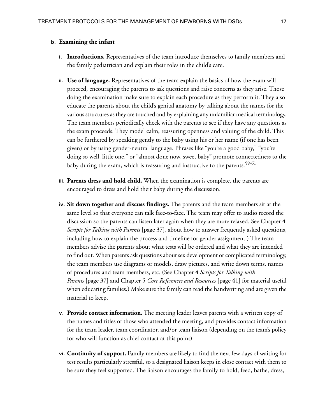#### **b. Examining the infant**

- **i. Introductions.** Representatives of the team introduce themselves to family members and the family pediatrician and explain their roles in the child's care.
- **ii. Use of language.** Representatives of the team explain the basics of how the exam will proceed, encouraging the parents to ask questions and raise concerns as they arise. Those doing the examination make sure to explain each procedure as they perform it. They also educate the parents about the child's genital anatomy by talking about the names for the various structures as they are touched and by explaining any unfamiliar medical terminology. The team members periodically check with the parents to see if they have any questions as the exam proceeds. They model calm, reassuring openness and valuing of the child. This can be furthered by speaking gently to the baby using his or her name (if one has been given) or by using gender-neutral language. Phrases like "you're a good baby," "you're doing so well, little one," or "almost done now, sweet baby" promote connectedness to the baby during the exam, which is reassuring and instructive to the parents.<sup>[59-](#page-59-3)[61](#page-59-5)</sup>
- <span id="page-25-0"></span>**iii. Parents dress and hold child.** When the examination is complete, the parents are encouraged to dress and hold their baby during the discussion.
- **iv. Sit down together and discuss findings.** The parents and the team members sit at the same level so that everyone can talk face-to-face. The team may offer to audio record the discussion so the parents can listen later again when they are more relaxed. See [Chapter 4](#page-45-0) *[Scripts for Talking with Parents](#page-45-0)* [\[page 37\],](#page-45-0) about how to answer frequently asked questions, including how to explain the process and timeline for gender assignment.) The team members advise the parents about what tests will be ordered and what they are intended to find out. When parents ask questions about sex development or complicated terminology, the team members use diagrams or models, draw pictures, and write down terms, names of procedures and team members, etc. (See Chapter 4 *[Scripts for Talking with](#page-45-0) [Parents](#page-45-0)* [\[page 37\]](#page-45-0) and Chapter 5 *[Core References and Resources](#page-49-0)* [\[page 41\]](#page-49-0) for material useful when educating families.) Make sure the family can read the handwriting and are given the material to keep.
- **v. Provide contact information.** The meeting leader leaves parents with a written copy of the names and titles of those who attended the meeting, and provides contact information for the team leader, team coordinator, and/or team liaison (depending on the team's policy for who will function as chief contact at this point).
- **vi. Continuity of support.** Family members are likely to find the next few days of waiting for test results particularly stressful, so a designated liaison keeps in close contact with them to be sure they feel supported. The liaison encourages the family to hold, feed, bathe, dress,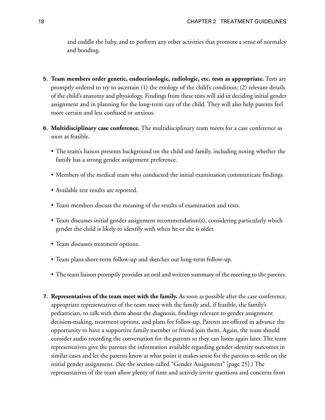and cuddle the baby, and to perform any other activities that promote a sense of normalcy and bonding.

- **5. Team members order genetic, endocrinologic, radiologic, etc. tests as appropriate.** Tests are promptly ordered to try to ascertain (1) the etiology of the child's condition; (2) relevant details of the child's anatomy and physiology. Findings from these tests will aid in deciding initial gender assignment and in planning for the long-term care of the child. They will also help parents feel more certain and less confused or anxious.
- **6. Multidisciplinary case conference.** The multidisciplinary team meets for a case conference as soon as feasible.
	- The team's liaison presents background on the child and family, including noting whether the family has a strong gender assignment preference.
	- Members of the medical team who conducted the initial examination communicate findings.
	- Available test results are reported.
	- Team members discuss the meaning of the results of examination and tests.
	- Team discusses initial gender assignment recommendation(s), considering particularly which gender the child is likely to identify with when he or she is older.
	- Team discusses treatment options.
	- Team plans short-term follow-up and sketches out long-term follow-up.
	- The team liaison promptly provides an oral and written summary of the meeting to the parents.
- **7. Representatives of the team meet with the family.** As soon as possible after the case conference, appropriate representatives of the team meet with the family and, if feasible, the family's pediatrician, to talk with them about the diagnosis, findings relevant to gender assignment decision-making, treatment options, and plans for follow-up. Parents are offered in advance the opportunity to have a supportive family member or friend join them. Again, the team should consider audio recording the conversation for the parents so they can listen again later. The team representatives give the parents the information available regarding gender identity outcomes in similar cases and let the parents know at what point it makes sense for the parents to settle on the initial gender assignment. (See [the section called "Gender Assignment" \[page 25\]](#page-33-1).) The representatives of the team allow plenty of time and actively invite questions and concerns from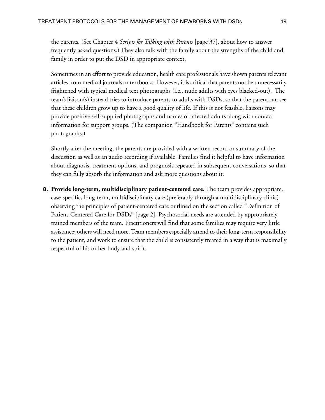the parents. (See Chapter 4 *[Scripts for Talking with Parents](#page-45-0)* [\[page 37\]](#page-45-0), about how to answer frequently asked questions.) They also talk with the family about the strengths of the child and family in order to put the DSD in appropriate context.

Sometimes in an effort to provide education, health care professionals have shown parents relevant articles from medical journals or textbooks. However, it is critical that parents not be unnecessarily frightened with typical medical text photographs (i.e., nude adults with eyes blacked-out). The team's liaison(s) instead tries to introduce parents to adults with DSDs, so that the parent can see that these children grow up to have a good quality of life. If this is not feasible, liaisons may provide positive self-supplied photographs and names of affected adults along with contact information for support groups. (The companion "Handbook for Parents" contains such photographs.)

Shortly after the meeting, the parents are provided with a written record or summary of the discussion as well as an audio recording if available. Families find it helpful to have information about diagnosis, treatment options, and prognosis repeated in subsequent conversations, so that they can fully absorb the information and ask more questions about it.

**8. Provide long-term, multidisciplinary patient-centered care.** The team provides appropriate, case-specific, long-term, multidisciplinary care (preferably through a multidisciplinary clinic) observing the principles of patient-centered care outlined on [the section called "Definition of](#page-10-1) [Patient-Centered Care for DSDs" \[page 2\].](#page-10-1) Psychosocial needs are attended by appropriately trained members of the team. Practitioners will find that some families may require very little assistance; others will need more. Team members especially attend to their long-term responsibility to the patient, and work to ensure that the child is consistently treated in a way that is maximally respectful of his or her body and spirit.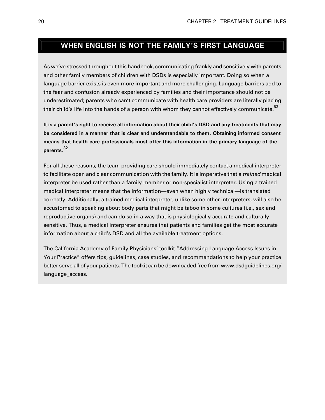### <span id="page-28-0"></span>**WHEN ENGLISH IS NOT THE FAMILY'S FIRST LANGUAGE**

As we've stressed throughout this handbook, communicating frankly and sensitively with parents and other family members of children with DSDs is especially important. Doing so when a language barrier exists is even more important and more challenging. Language barriers add to the fear and confusion already experienced by families and their importance should not be underestimated; parents who can't communicate with health care providers are literally placing their child's life into the hands of a person with whom they cannot effectively communicate.<sup>[63](#page-59-7)</sup>

It is a parent's right to receive all information about their child's DSD and any treatments that may **be considered in a manner that is clear and understandable to them. Obtaining informed consent means that health care professionals must offer this information in the primary language of the parents.**[32](#page-57-4)

For all these reasons, the team providing care should immediately contact a medical interpreter to facilitate open and clear communication with the family. It is imperative that a *trained* medical interpreter be used rather than a family member or non-specialist interpreter. Using a trained medical interpreter means that the information—even when highly technical—is translated correctly. Additionally, a trained medical interpreter, unlike some other interpreters, will also be accustomed to speaking about body parts that might be taboo in some cultures (i.e., sex and reproductive organs) and can do so in a way that is physiologically accurate and culturally sensitive. Thus, a medical interpreter ensures that patients and families get the most accurate information about a child's DSD and all the available treatment options.

The California Academy of Family Physicians' toolkit "Addressing Language Access Issues in Your Practice" offers tips, guidelines, case studies, and recommendations to help your practice better serve all of your patients. The toolkit can be downloaded free from [www.dsdguidelines.org/](http://www.dsdguidelines.org/language_access) [language\\_access.](http://www.dsdguidelines.org/language_access)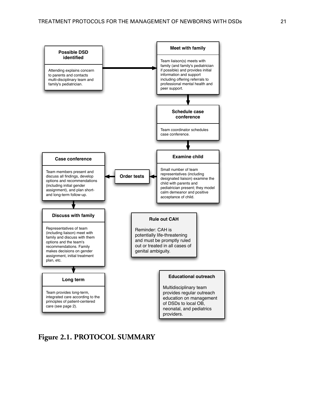<span id="page-29-0"></span>

**Figure 2.1. PROTOCOL SUMMARY**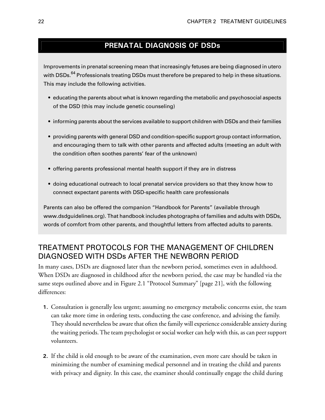### **PRENATAL DIAGNOSIS OF DSDs**

Improvements in prenatal screening mean that increasingly fetuses are being diagnosed in utero with DSDs.<sup>[64](#page-59-8)</sup> Professionals treating DSDs must therefore be prepared to help in these situations. This may include the following activities.

- educating the parents about what is known regarding the metabolic and psychosocial aspects of the DSD (this may include genetic counseling)
- informing parents about the services available to support children with DSDs and their families
- providing parents with general DSD and condition-specific support group contact information, and encouraging them to talk with other parents and affected adults (meeting an adult with the condition often soothes parents' fear of the unknown)
- offering parents professional mental health support if they are in distress
- doing educational outreach to local prenatal service providers so that they know how to connect expectant parents with DSD-specific health care professionals

<span id="page-30-0"></span>Parents can also be offered the companion "Handbook for Parents" (available through [www.dsdguidelines.org\)](http://www.dsdguidelines.org). That handbook includes photographs of families and adults with DSDs, words of comfort from other parents, and thoughtful letters from affected adults to parents.

### TREATMENT PROTOCOLS FOR THE MANAGEMENT OF CHILDREN DIAGNOSED WITH DSDs AFTER THE NEWBORN PERIOD

In many cases, DSDs are diagnosed later than the newborn period, sometimes even in adulthood. When DSDs are diagnosed in childhood after the newborn period, the case may be handled via the same steps outlined above and in [Figure 2.1 "Protocol Summary" \[page 21\]](#page-29-0), with the following differences:

- **1.** Consultation is generally less urgent; assuming no emergency metabolic concerns exist, the team can take more time in ordering tests, conducting the case conference, and advising the family. They should nevertheless be aware that often the family will experience considerable anxiety during the waiting periods.The team psychologist or social worker can help with this, as can peer support volunteers.
- **2.** If the child is old enough to be aware of the examination, even more care should be taken in minimizing the number of examining medical personnel and in treating the child and parents with privacy and dignity. In this case, the examiner should continually engage the child during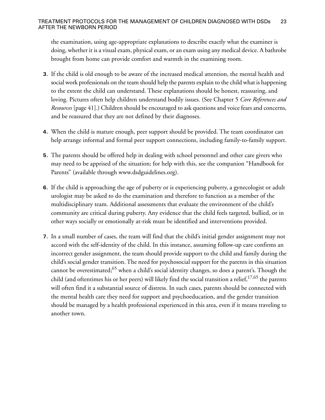the examination, using age-appropriate explanations to describe exactly what the examiner is doing, whether it is a visual exam, physical exam, or an exam using any medical device. A bathrobe brought from home can provide comfort and warmth in the examining room.

- **3.** If the child is old enough to be aware of the increased medical attention, the mental health and social work professionals on the team should help the parents explain to the child what is happening to the extent the child can understand. These explanations should be honest, reassuring, and loving. Pictures often help children understand bodily issues. (See Chapter 5 *[Core References and](#page-49-0) [Resources](#page-49-0)* [\[page 41\]](#page-49-0).) Children should be encouraged to ask questions and voice fears and concerns, and be reassured that they are not defined by their diagnoses.
- **4.** When the child is mature enough, peer support should be provided. The team coordinator can help arrange informal and formal peer support connections, including family-to-family support.
- **5.** The parents should be offered help in dealing with school personnel and other care givers who may need to be apprised of the situation; for help with this, see the companion "Handbook for Parents" (available through [www.dsdguidelines.org\)](http://www.dsdguidelines.org).
- **6.** If the child is approaching the age of puberty or is experiencing puberty, a gynecologist or adult urologist may be asked to do the examination and therefore to function as a member of the multidisciplinary team. Additional assessments that evaluate the environment of the child's community are critical during puberty. Any evidence that the child feels targeted, bullied, or in other ways socially or emotionally at-risk must be identified and interventions provided.
- **7.** In a small number of cases, the team will find that the child's initial gender assignment may not accord with the self-identity of the child. In this instance, assuming follow-up care confirms an incorrect gender assignment, the team should provide support to the child and family during the child's social gender transition. The need for psychosocial support for the parents in this situation cannot be overestimated;<sup>[65](#page-59-9)</sup> when a child's social identity changes, so does a parent's. Though the child (and oftentimes his or her peers) will likely find the social transition a relief,<sup>[17,](#page-56-2)[65](#page-59-9)</sup> the parents will often find it a substantial source of distress. In such cases, parents should be connected with the mental health care they need for support and psychoeducation, and the gender transition should be managed by a health professional experienced in this area, even if it means traveling to another town.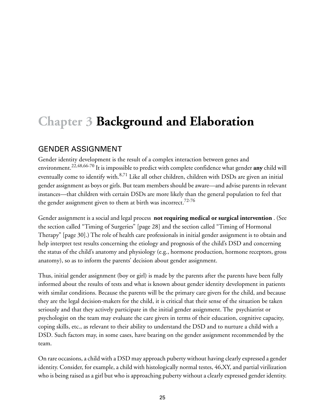# <span id="page-33-0"></span>**Chapter 3 Background and Elaboration**

### <span id="page-33-1"></span>GENDER ASSIGNMENT

Gender identity development is the result of a complex interaction between genes and environment.[22,](#page-56-9)[48,](#page-58-6)[66](#page-59-10)-[70](#page-60-0) It is impossible to predict with complete confidence what gender **any** child will eventually come to identify with.<sup>[8](#page-55-3),[71](#page-60-1)</sup> Like all other children, children with DSDs are given an initial gender assignment as boys or girls. But team members should be aware—and advise parents in relevant instances—that children with certain DSDs are more likely than the general population to feel that the gender assignment given to them at birth was incorrect.<sup>[72-](#page-60-2)[76](#page-60-3)</sup>

Gender assignment is a social and legal process **not requiring medical or surgical intervention** . (See [the section called "Timing of Surgeries" \[page 28\]](#page-36-0) and [the section called "Timing of Hormonal](#page-38-0) [Therapy" \[page 30\].](#page-38-0)) The role of health care professionals in initial gender assignment is to obtain and help interpret test results concerning the etiology and prognosis of the child's DSD and concerning the status of the child's anatomy and physiology (e.g., hormone production, hormone receptors, gross anatomy), so as to inform the parents' decision about gender assignment.

Thus, initial gender assignment (boy or girl) is made by the parents after the parents have been fully informed about the results of tests and what is known about gender identity development in patients with similar conditions. Because the parents will be the primary care givers for the child, and because they are the legal decision-makers for the child, it is critical that their sense of the situation be taken seriously and that they actively participate in the initial gender assignment. The psychiatrist or psychologist on the team may evaluate the care givers in terms of their education, cognitive capacity, coping skills, etc., as relevant to their ability to understand the DSD and to nurture a child with a DSD. Such factors may, in some cases, have bearing on the gender assignment recommended by the team.

On rare occasions, a child with a DSD may approach puberty without having clearly expressed a gender identity. Consider, for example, a child with histologically normal testes, 46,XY, and partial virilization who is being raised as a girl but who is approaching puberty without a clearly expressed gender identity.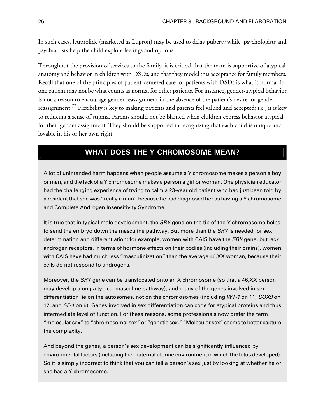In such cases, leuprolide (marketed as Lupron) may be used to delay puberty while psychologists and psychiatrists help the child explore feelings and options.

Throughout the provision of services to the family, it is critical that the team is supportive of atypical anatomy and behavior in children with DSDs, and that they model this acceptance for family members. Recall that one of the principles of patient-centered care for patients with DSDs is what is normal for one patient may not be what counts as normal for other patients. For instance, gender-atypical behavior is not a reason to encourage gender reassignment in the absence of the patient's desire for gender reassignment.<sup>[72](#page-60-2)</sup> Flexibility is key to making patients and parents feel valued and accepted; i.e., it is key to reducing a sense of stigma. Parents should not be blamed when children express behavior atypical for their gender assignment. They should be supported in recognizing that each child is unique and lovable in his or her own right.

### **WHAT DOES THE Y CHROMOSOME MEAN?**

A lot of unintended harm happens when people assume a Y chromosome makes a person a boy or man,and thelack ofa Y chromosome makesa person a girl or woman. One physician educator had the challenging experience of trying to calm a 23-year old patient who had just been told by a resident that she was "really a man" because he had diagnosed her as having a Y chromosome and Complete Androgen Insensitivity Syndrome.

It is true that in typical male development, the  $SRY$  gene on the tip of the Y chromosome helps to send the embryo down the masculine pathway. But more than the SRY is needed for sex determination and differentiation; for example, women with CAIS have the SRY gene, but lack androgen receptors. In terms of hormone effects on their bodies (including their brains), women with CAIS have had much less "masculinization" than the average 46,XX woman, because their cells do not respond to androgens.

Moreover, the SRY gene can be translocated onto an X chromosome (so that a 46,XX person may develop along a typical masculine pathway), and many of the genes involved in sex differentiation lie on the autosomes, not on the chromosomes (including WT-1 on 11, SOX9 on 17, and SF-1 on 9). Genes involved in sex differentiation can code for atypical proteins and thus intermediate level of function. For these reasons, some professionals now prefer the term "molecular sex" to "chromosomal sex" or "genetic sex." "Molecular sex" seems to better capture the complexity.

And beyond the genes, a person's sex development can be significantly influenced by environmental factors (including the maternal uterine environment in which the fetus developed). So it is simply incorrect to think that you can tell a person's sex just by looking at whether he or she has a Y chromosome.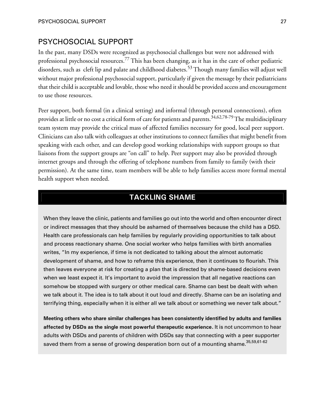#### <span id="page-35-0"></span>PSYCHOSOCIAL SUPPORT

In the past, many DSDs were recognized as psychosocial challenges but were not addressed with professional psychosocial resources.[77](#page-60-4) This has been changing, as it has in the care of other pediatric disorders, such as cleft lip and palate and childhood diabetes.<sup>[53](#page-58-10)</sup> Though many families will adjust well without major professional psychosocial support, particularly if given the message by their pediatricians that their child is acceptable and lovable, those who need it should be provided access and encouragement to use those resources.

Peer support, both formal (in a clinical setting) and informal (through personal connections), often provides at little or no cost a critical form of care for patients and parents.<sup>[34](#page-57-10)[,62](#page-59-6)[,78](#page-60-5)[-79](#page-60-6)</sup>The multidisciplinary team system may provide the critical mass of affected families necessary for good, local peer support. Clinicians can also talk with colleagues at other institutions to connect families that might benefit from speaking with each other, and can develop good working relationships with support groups so that liaisons from the support groups are "on call" to help. Peer support may also be provided through internet groups and through the offering of telephone numbers from family to family (with their permission). At the same time, team members will be able to help families access more formal mental health support when needed.

### **TACKLING SHAME**

When they leave the clinic, patients and families go out into the world and often encounter direct or indirect messages that they should be ashamed of themselves because the child has a DSD. Health care professionals can help families by regularly providing opportunities to talk about and process reactionary shame. One social worker who helps families with birth anomalies writes, "In my experience, if time is not dedicated to talking about the almost automatic development of shame, and how to reframe this experience, then it continues to flourish. This then leaves everyone at risk for creating a plan that is directed by shame-based decisions even when we least expect it. It's important to avoid the impression that all negative reactions can somehow be stopped with surgery or other medical care. Shame can best be dealt with when we talk about it. The idea is to talk about it out loud and directly. Shame can be an isolating and terrifying thing, especially when it is either all we talk about or something we never talk about."

**Meeting others who share similar challenges has been consistently identified by adults and families affected by DSDs as the single most powerful therapeutic experience.** It is not uncommon to hear adults with DSDs and parents of children with DSDs say that connecting with a peer supporter saved them from a sense of growing desperation born out of a mounting shame.<sup>[35](#page-57-5)[,59](#page-59-3),[61-](#page-59-5)[62](#page-59-6)</sup>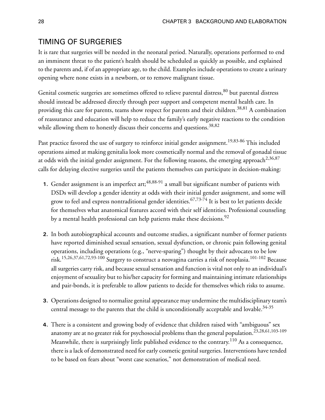## <span id="page-36-0"></span>TIMING OF SURGERIES

It is rare that surgeries will be needed in the neonatal period. Naturally, operations performed to end an imminent threat to the patient's health should be scheduled as quickly as possible, and explained to the parents and, if of an appropriate age, to the child. Examples include operations to create a urinary opening where none exists in a newborn, or to remove malignant tissue.

<span id="page-36-8"></span><span id="page-36-2"></span>Genital cosmetic surgeries are sometimes offered to relieve parental distress, <sup>[80](#page-60-0)</sup> but parental distress should instead be addressed directly through peer support and competent mental health care. In providing this care for parents, teams show respect for parents and their children.<sup>[38](#page-57-0),[81](#page-60-1)</sup> A combination of reassurance and education will help to reduce the family's early negative reactions to the condition while allowing them to honestly discuss their concerns and questions.<sup>[38](#page-57-0)[,82](#page-60-2)</sup>

<span id="page-36-9"></span><span id="page-36-5"></span>Past practice favored the use of surgery to reinforce initial gender assignment.<sup>[19](#page-56-0)[,83](#page-60-3)[-86](#page-61-0)</sup> This included operations aimed at making genitalia look more cosmetically normal and the removal of gonadal tissue at odds with the initial gender assignment. For the following reasons, the emerging approach<sup>[2,](#page-55-0)[36](#page-57-1)[,87](#page-61-1)</sup> calls for delaying elective surgeries until the patients themselves can participate in decision-making:

- <span id="page-36-4"></span>**1.** Gender assignment is an imperfect art; <sup>[48](#page-58-0),[88-](#page-61-2)[91](#page-61-3)</sup> a small but significant number of patients with DSDs will develop a gender identity at odds with their initial gender assignment, and some will grow to feel and express nontraditional gender identities.<sup>[67,](#page-59-0)[73-](#page-60-4)[74](#page-60-5)</sup> It is best to let patients decide for themselves what anatomical features accord with their self identities. Professional counseling by a mental health professional can help patients make these decisions.<sup>[92](#page-61-4)</sup>
- <span id="page-36-7"></span><span id="page-36-1"></span>**2.** In both autobiographical accounts and outcome studies, a significant number of former patients have reported diminished sexual sensation, sexual dysfunction, or chronic pain following genital operations, including operations (e.g., "nerve-sparing") thought by their advocates to be low risk.<sup>[15,](#page-56-1)[26](#page-56-2)[,37](#page-57-2),[61,](#page-59-1)[72,](#page-60-6)[93](#page-61-5)-[100](#page-62-0)</sup> Surgery to construct a neovagina carries a risk of neoplasia.<sup>[101](#page-62-1)[-102](#page-62-2)</sup> Because all surgeries carry risk, and because sexual sensation and function is vital not only to an individual's enjoyment of sexuality but to his/her capacity for forming and maintaining intimate relationships and pair-bonds, it is preferable to allow patients to decide for themselves which risks to assume.
- <span id="page-36-6"></span><span id="page-36-3"></span>**3.** Operations designed to normalize genital appearance may undermine the multidisciplinary team's central message to the parents that the child is unconditionally acceptable and lovable. $34-35$  $34-35$
- **4.** There is a consistent and growing body of evidence that children raised with "ambiguous" sex anatomy are at no greater risk for psychosocial problems than the general population.<sup>[23](#page-56-3),[28,](#page-57-5)[61](#page-59-1),[103-](#page-62-3)[109](#page-62-4)</sup> Meanwhile, there is surprisingly little published evidence to the contrary. $^{110}$  $^{110}$  $^{110}$  As a consequence, there is a lack of demonstrated need for early cosmetic genital surgeries. Interventions have tended to be based on fears about "worst case scenarios," not demonstration of medical need.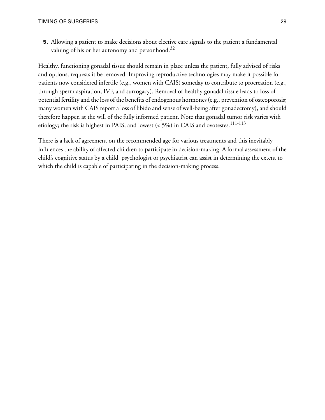<span id="page-37-1"></span>**5.** Allowing a patient to make decisions about elective care signals to the patient a fundamental valuing of his or her autonomy and personhood. $32$ 

<span id="page-37-3"></span><span id="page-37-2"></span><span id="page-37-0"></span>Healthy, functioning gonadal tissue should remain in place unless the patient, fully advised of risks and options, requests it be removed. Improving reproductive technologies may make it possible for patients now considered infertile (e.g., women with CAIS) someday to contribute to procreation (e.g., through sperm aspiration, IVF, and surrogacy). Removal of healthy gonadal tissue leads to loss of potential fertility and the loss of the benefits of endogenous hormones (e.g., prevention of osteoporosis; many women with CAIS report a loss of libido and sense of well-being after gonadectomy), and should therefore happen at the will of the fully informed patient. Note that gonadal tumor risk varies with etiology; the risk is highest in PAIS, and lowest  $(< 5\%)$  in CAIS and ovotestes.<sup>[111](#page-62-6)-[113](#page-63-0)</sup>

<span id="page-37-4"></span>There is a lack of agreement on the recommended age for various treatments and this inevitably influences the ability of affected children to participate in decision-making. A formal assessment of the child's cognitive status by a child psychologist or psychiatrist can assist in determining the extent to which the child is capable of participating in the decision-making process.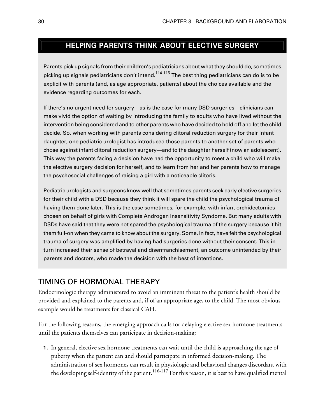# **HELPING PARENTS THINK ABOUT ELECTIVE SURGERY**

<span id="page-38-6"></span><span id="page-38-5"></span>Parents pick up signals from their children's pediatriciansabout what theyshould do, sometimes picking up signals pediatricians don't intend.<sup>[114](#page-63-1)-[115](#page-63-2)</sup> The best thing pediatricians can do is to be explicit with parents (and, as age appropriate, patients) about the choices available and the evidence regarding outcomes for each.

<span id="page-38-4"></span><span id="page-38-1"></span>If there's no urgent need for surgery—as is the case for many DSD surgeries—clinicians can make vivid the option of waiting by introducing the family to adults who have lived without the intervention being considered and to other parents who have decided to hold off and let the child decide. So, when working with parents considering clitoral reduction surgery for their infant daughter, one pediatric urologist has introduced those parents to another set of parents who chose against infant clitoral reduction surgery—and to the daughter herself (now an adolescent). This way the parents facing a decision have had the opportunity to meet a child who will make the elective surgery decision for herself, and to learn from her and her parents how to manage the psychosocial challenges of raising a girl with a noticeable clitoris.

<span id="page-38-3"></span><span id="page-38-0"></span>Pediatric urologists and surgeons know well that sometimes parents seek early elective surgeries for their child with a DSD because they think it will spare the child the psychological trauma of having them done later. This is the case sometimes, for example, with infant orchidectomies chosen on behalf of girls with Complete Androgen Insensitivity Syndome. But many adults with DSDs have said that they were not spared the psychological trauma of the surgery because it hit them full-on when they came to know about the surgery. Some, in fact, have felt the psychological trauma of surgery was amplified by having had surgeries done without their consent. This in turn increased their sense of betrayal and disenfranchisement, an outcome unintended by their parents and doctors, who made the decision with the best of intentions.

## <span id="page-38-2"></span>TIMING OF HORMONAL THERAPY

Endocrinologic therapy administered to avoid an imminent threat to the patient's health should be provided and explained to the parents and, if of an appropriate age, to the child. The most obvious example would be treatments for classical CAH.

For the following reasons, the emerging approach calls for delaying elective sex hormone treatments until the patients themselves can participate in decision-making:

<span id="page-38-7"></span>**1.** In general, elective sex hormone treatments can wait until the child is approaching the age of puberty when the patient can and should participate in informed decision-making. The administration of sex hormones can result in physiologic and behavioral changes discordant with the developing self-identity of the patient.<sup>[116](#page-63-3)[-117](#page-63-4)</sup> For this reason, it is best to have qualified mental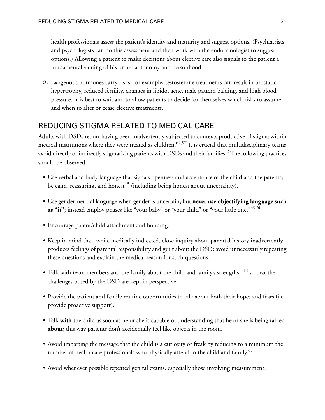<span id="page-39-4"></span>health professionals assess the patient's identity and maturity and suggest options. (Psychiatrists and psychologists can do this assessment and then work with the endocrinologist to suggest options.) Allowing a patient to make decisions about elective care also signals to the patient a fundamental valuing of his or her autonomy and personhood.

**2.** Exogenous hormones carry risks; for example, testosterone treatments can result in prostatic hypertrophy, reduced fertility, changes in libido, acne, male pattern balding, and high blood pressure. It is best to wait and to allow patients to decide for themselves which risks to assume and when to alter or cease elective treatments.

# REDUCING STIGMA RELATED TO MEDICAL CARE

Adults with DSDs report having been inadvertently subjected to contexts productive of stigma within medical institutions where they were treated as children.<sup>[62,](#page-59-2)[97](#page-61-6)</sup> It is crucial that multidisciplinary teams avoid directly or indirectly stigmatizing patients with DSDs and their families.<sup>[2](#page-55-0)</sup> The following practices should be observed.

- <span id="page-39-2"></span><span id="page-39-1"></span>• Use verbal and body language that signals openness and acceptance of the child and the parents; be calm, reassuring, and honest<sup>[43](#page-58-1)</sup> (including being honest about uncertainty).
- Use gender-neutral language when gender is uncertain, but **never use objectifying language such as "it"**; instead employ phases like "your baby" or "your child" or "your little one."<sup>[49,](#page-58-2)[60](#page-59-3)</sup>
- <span id="page-39-3"></span>• Encourage parent/child attachment and bonding.
- Keep in mind that, while medically indicated, close inquiry about parental history inadvertently produces feelings of parental responsibility and guilt about the DSD; avoid unnecessarily repeating these questions and explain the medical reason for such questions.
- Talk with team members and the family about the child and family's strengths, $118$  so that the challenges posed by the DSD are kept in perspective.
- Provide the patient and family routine opportunities to talk about both their hopes and fears (i.e., provide proactive support).
- <span id="page-39-0"></span>• Talk **with** the child as soon as he or she is capable of understanding that he or she is being talked **about**; this way patients don't accidentally feel like objects in the room.
- Avoid imparting the message that the child is a curiosity or freak by reducing to a minimum the number of health care professionals who physically attend to the child and family. [61](#page-59-1)
- Avoid whenever possible repeated genital exams, especially those involving measurement.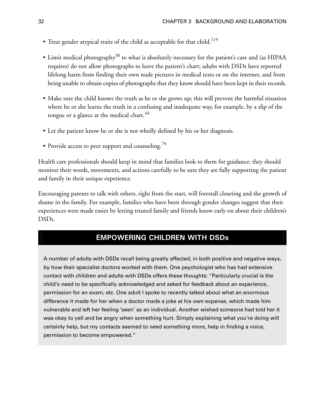- <span id="page-40-1"></span>• Treat gender atypical traits of the child as acceptable for that child.<sup>[119](#page-63-6)</sup>
- <span id="page-40-4"></span>• Limit medical photography<sup>[30](#page-57-7)</sup> to what is absolutely necessary for the patient's care and (as HIPAA requires) do not allow photographs to leave the patient's chart; adults with DSDs have reported lifelong harm from finding their own nude pictures in medical texts or on the internet, and from being unable to obtain copies of photographs that they know should have been kept in their records.
- Make sure the child knows the truth as he or she grows up; this will prevent the harmful situation where he or she learns the truth in a confusing and inadequate way, for example, by a slip of the tongue or a glance at the medical chart. $44$
- <span id="page-40-2"></span>• Let the patient know he or she is not wholly defined by his or her diagnosis.
- Provide access to peer support and counseling.<sup>[79](#page-60-7)</sup>

<span id="page-40-5"></span>Health care professionals should keep in mind that families look to them for guidance; they should monitor their words, movements, and actions carefully to be sure they are fully supporting the patient and family in their unique experience.

<span id="page-40-0"></span>Encouraging parents to talk with others, right from the start, will forestall closeting and the growth of shame in the family. For example, families who have been through gender changes suggest that their experiences were made easier by letting trusted family and friends know early on about their children's DSDs.

## **EMPOWERING CHILDREN WITH DSDs**

<span id="page-40-3"></span>A number of adults with DSDs recall being greatly affected, in both positive and negative ways, by how their specialist doctors worked with them. One psychologist who has had extensive contact with children and adults with DSDs offers these thoughts: "Particularly crucial is the child's need to be specifically acknowledged and asked for feedback about an experience, permission for an exam, etc. One adult I spoke to recently talked about what an enormous difference it made for her when a doctor made a joke at his own expense, which made him vulnerable and left her feeling 'seen' as an individual. Another wished someone had told her it was okay to yell and be angry when something hurt. Simply explaining what you're doing will certainly help, but my contacts seemed to need something more, help in finding a voice, permission to become empowered."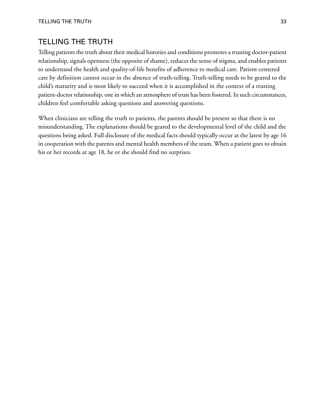# TELLING THE TRUTH

<span id="page-41-3"></span><span id="page-41-2"></span><span id="page-41-1"></span>Telling patients the truth about their medical histories and conditions promotes a trusting doctor-patient relationship, signals openness (the opposite of shame), reduces the sense of stigma, and enables patients to understand the health and quality-of-life benefits of adherence to medical care. Patient-centered care by definition cannot occur in the absence of truth-telling. Truth-telling needs to be geared to the child's maturity and is most likely to succeed when it is accomplished in the context of a trusting patient-doctor relationship, one in which an atmosphere of trust has been fostered. In such circumstances, children feel comfortable asking questions and answering questions.

<span id="page-41-0"></span>When clinicians are telling the truth to patients, the parents should be present so that there is no misunderstanding. The explanations should be geared to the developmental level of the child and the questions being asked. Full disclosure of the medical facts should typically occur at the latest by age 16 in cooperation with the parents and mental health members of the team. When a patient goes to obtain his or her records at age 18, he or she should find no surprises.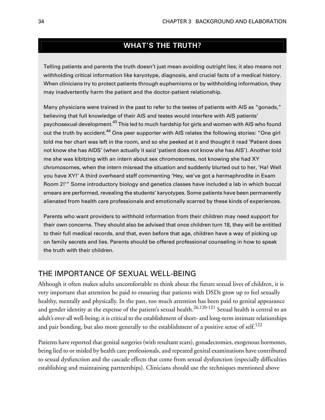# **WHAT'S THE TRUTH?**

<span id="page-42-0"></span>Telling patients and parents the truth doesn't just mean avoiding outright lies; it also means not withholding critical information like karyotype, diagnosis, and crucial facts of a medical history. When clinicians try to protect patients through euphemisms or by withholding information, they may inadvertently harm the patient and the doctor-patient relationship.

<span id="page-42-3"></span>Many physicians were trained in the past to refer to the testes of patients with AIS as "gonads," believing that full knowledge of their AIS and testes would interfere with AIS patients' psychosexual development.<sup>[43](#page-58-1)</sup> This led to much hardship for girls and women with AIS who found out the truth by accident.<sup>[44](#page-58-3)</sup> One peer supporter with AIS relates the following stories: "One girl told me her chart was left in the room, and so she peeked at it and thought it read 'Patient does not know she has AIDS' (when actually it said 'patient does not know she has AIS'). Another told me she was kibitzing with an intern about sex chromosomes, not knowing she had XY chromosomes, when the intern misread the situation and suddenly blurted out to her, 'Ha! Well you have XY!' A third overheard staff commenting 'Hey, we've got a hermaphrodite in Exam Room 2!'" Some introductory biology and genetics classes have included a lab in which buccal smears are performed, revealing the students' karyotypes. Some patients have been permanently alienated from health care professionals and emotionally scarred by these kinds of experiences.

<span id="page-42-5"></span><span id="page-42-1"></span>Parents who want providers to withhold information from their children may need support for their own concerns. They should also be advised that once children turn 18, they will be entitled to their full medical records, and that, even before that age, children have a way of picking up on family secrets and lies. Parents should be offered professional counseling in how to speak the truth with their children.

## <span id="page-42-4"></span>THE IMPORTANCE OF SEXUAL WELL-BEING

<span id="page-42-2"></span>Although it often makes adults uncomfortable to think about the future sexual lives of children, it is very important that attention be paid to ensuring that patients with DSDs grow up to feel sexually healthy, mentally and physically. In the past, too much attention has been paid to genital appearance and gender identity at the expense of the patient's sexual health.<sup>[26,](#page-56-2)[120-](#page-63-7)[121](#page-63-8)</sup> Sexual health is central to an adult's over-all well-being; it is critical to the establishment of short- and long-term intimate relationships and pair bonding, but also more generally to the establishment of a positive sense of self. $^{122}$  $^{122}$  $^{122}$ 

Patients have reported that genital surgeries (with resultant scars), gonadectomies, exogenous hormones, being lied to or misled by health care professionals, and repeated genital examinations have contributed to sexual dysfunction and the cascade effects that come from sexual dysfunction (especially difficulties establishing and maintaining partnerships). Clinicians should use the techniques mentioned above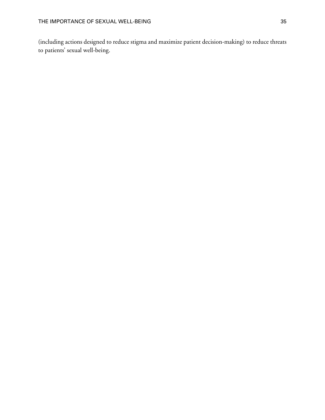<span id="page-43-0"></span>(including actions designed to reduce stigma and maximize patient decision-making) to reduce threats to patients' sexual well-being.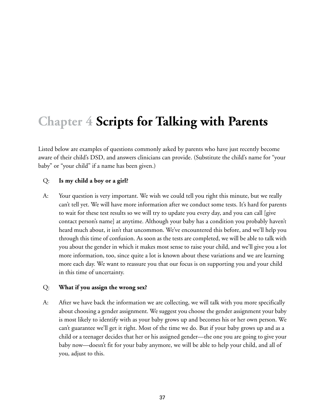# <span id="page-45-0"></span>**Chapter 4 Scripts for Talking with Parents**

<span id="page-45-2"></span>Listed below are examples of questions commonly asked by parents who have just recently become aware of their child's DSD, and answers clinicians can provide. (Substitute the child's name for "your baby" or "your child" if a name has been given.)

#### Q: **Is my child a boy or a girl?**

A: Your question is very important. We wish we could tell you right this minute, but we really can't tell yet. We will have more information after we conduct some tests. It's hard for parents to wait for these test results so we will try to update you every day, and you can call [give contact person's name] at anytime. Although your baby has a condition you probably haven't heard much about, it isn't that uncommon. We've encountered this before, and we'll help you through this time of confusion. As soon as the tests are completed, we will be able to talk with you about the gender in which it makes most sense to raise your child, and we'll give you a lot more information, too, since quite a lot is known about these variations and we are learning more each day. We want to reassure you that our focus is on supporting you and your child in this time of uncertainty.

#### <span id="page-45-1"></span>Q: **What if you assign the wrong sex?**

A: After we have back the information we are collecting, we will talk with you more specifically about choosing a gender assignment. We suggest you choose the gender assignment your baby is most likely to identify with as your baby grows up and becomes his or her own person. We can't guarantee we'll get it right. Most of the time we do. But if your baby grows up and as a child or a teenager decides that her or his assigned gender—the one you are going to give your baby now—doesn't fit for your baby anymore, we will be able to help your child, and all of you, adjust to this.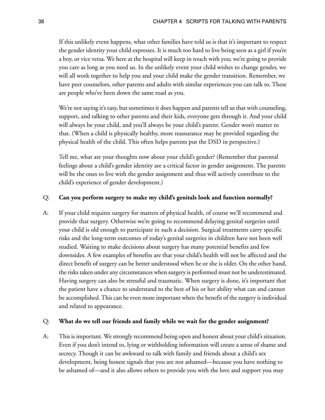If this unlikely event happens, what other families have told us is that it's important to respect the gender identity your child expresses. It is much too hard to live being seen as a girl if you're a boy, or vice versa. We here at the hospital will keep in touch with you; we're going to provide you care as long as you need us. In the unlikely event your child wishes to change gender, we will all work together to help you and your child make the gender transition. Remember, we have peer counselors, other parents and adults with similar experiences you can talk to. These are people who've been down the same road as you.

We're not saying it's easy, but sometimes it does happen and parents tell us that with counseling, support, and talking to other parents and their kids, everyone gets through it. And your child will always be your child, and you'll always be your child's parent. Gender won't matter to that. (When a child is physically healthy, more reassurance may be provided regarding the physical health of the child. This often helps parents put the DSD in perspective.)

<span id="page-46-1"></span>Tell me, what are your thoughts now about your child's gender? (Remember that parental feelings about a child's gender identity are a critical factor in gender assignment. The parents will be the ones to live with the gender assignment and thus will actively contribute to the child's experience of gender development.)

#### Q: **Can you perform surgery to make my child's genitals look and function normally?**

A: If your child requires surgery for matters of physical health, of course we'll recommend and provide that surgery. Otherwise we're going to recommend delaying genital surgeries until your child is old enough to participate in such a decision. Surgical treatments carry specific risks and the long-term outcomes of today's genital surgeries in children have not been well studied. Waiting to make decisions about surgery has many potential benefits and few downsides. A few examples of benefits are that your child's health will not be affected and the direct benefit of surgery can be better understood when he or she is older. On the other hand, the risks taken under any circumstances when surgery is performed must not be underestimated. Having surgery can also be stressful and traumatic. When surgery is done, it's important that the patient have a chance to understand to the best of his or her ability what can and cannot be accomplished. This can be even more important when the benefit of the surgery is individual and related to appearance.

#### <span id="page-46-0"></span>Q: **What do we tell our friends and family while we wait for the gender assignment?**

A: This is important. We strongly recommend being open and honest about your child's situation. Even if you don't intend to, lying or withholding information will create a sense of shame and secrecy. Though it can be awkward to talk with family and friends about a child's sex development, being honest signals that you are not ashamed—because you have nothing to be ashamed of—and it also allows others to provide you with the love and support you may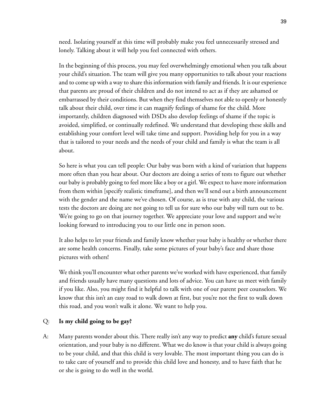need. Isolating yourself at this time will probably make you feel unnecessarily stressed and lonely. Talking about it will help you feel connected with others.

In the beginning of this process, you may feel overwhelmingly emotional when you talk about your child's situation. The team will give you many opportunities to talk about your reactions and to come up with a way to share this information with family and friends. It is our experience that parents are proud of their children and do not intend to act as if they are ashamed or embarrassed by their conditions. But when they find themselves not able to openly or honestly talk about their child, over time it can magnify feelings of shame for the child. More importantly, children diagnosed with DSDs also develop feelings of shame if the topic is avoided, simplified, or continually redefined. We understand that developing these skills and establishing your comfort level will take time and support. Providing help for you in a way that is tailored to your needs and the needs of your child and family is what the team is all about.

So here is what you can tell people: Our baby was born with a kind of variation that happens more often than you hear about. Our doctors are doing a series of tests to figure out whether our baby is probably going to feel more like a boy or a girl. We expect to have more information from them within [specify realistic timeframe], and then we'll send out a birth announcement with the gender and the name we've chosen. Of course, as is true with any child, the various tests the doctors are doing are not going to tell us for sure who our baby will turn out to be. We're going to go on that journey together. We appreciate your love and support and we're looking forward to introducing you to our little one in person soon.

It also helps to let your friends and family know whether your baby is healthy or whether there are some health concerns. Finally, take some pictures of your baby's face and share those pictures with others!

<span id="page-47-0"></span>We think you'll encounter what other parents we've worked with have experienced, that family and friends usually have many questions and lots of advice. You can have us meet with family if you like. Also, you might find it helpful to talk with one of our parent peer counselors. We know that this isn't an easy road to walk down at first, but you're not the first to walk down this road, and you won't walk it alone. We want to help you.

#### Q: **Is my child going to be gay?**

A: Many parents wonder about this. There really isn't any way to predict **any** child's future sexual orientation, and your baby is no different. What we do know is that your child is always going to be your child, and that this child is very lovable. The most important thing you can do is to take care of yourself and to provide this child love and honesty, and to have faith that he or she is going to do well in the world.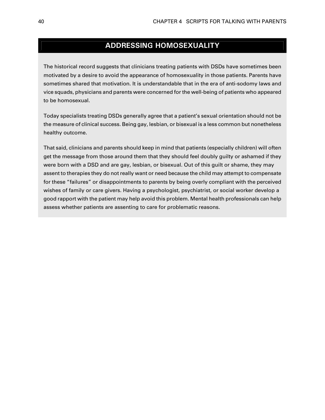# **ADDRESSING HOMOSEXUALITY**

The historical record suggests that clinicians treating patients with DSDs have sometimes been motivated by a desire to avoid the appearance of homosexuality in those patients. Parents have sometimes shared that motivation. It is understandable that in the era of anti-sodomy laws and vice squads, physicians and parents were concerned for the well-being of patients who appeared to be homosexual.

Today specialists treating DSDs generally agree that a patient's sexual orientation should not be the measure of clinical success. Being gay, lesbian, or bisexual is a less common but nonetheless healthy outcome.

<span id="page-48-2"></span><span id="page-48-1"></span><span id="page-48-0"></span>That said, clinicians and parents should keep in mind that patients (especially children) will often get the message from those around them that they should feel doubly guilty or ashamed if they were born with a DSD and are gay, lesbian, or bisexual. Out of this guilt or shame, they may assent to therapies they do not really want or need because the child may attempt to compensate for these "failures" or disappointments to parents by being overly compliant with the perceived wishes of family or care givers. Having a psychologist, psychiatrist, or social worker develop a good rapport with the patient may help avoid this problem. Mental health professionals can help assess whether patients are assenting to care for problematic reasons.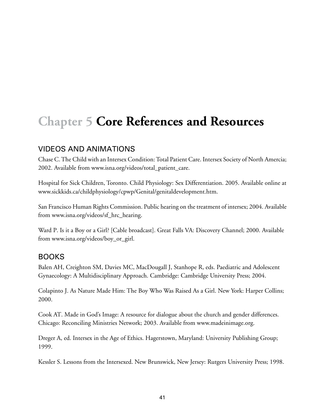# **Chapter 5 Core References and Resources**

# VIDEOS AND ANIMATIONS

Chase C. The Child with an Intersex Condition: Total Patient Care. Intersex Society of North Amercia; 2002. Available from [www.isna.org/videos/total\\_patient\\_care.](http://www.isna.org/videos/total_patient_care)

Hospital for Sick Children, Toronto. Child Physiology: Sex Differentiation. 2005. Available online at [www.sickkids.ca/childphysiology/cpwp/Genital/genitaldevelopment.htm.](http://www.sickkids.ca/childphysiology/cpwp/Genital/genitaldevelopment.htm)

San Francisco Human Rights Commission. Public hearing on the treatment of intersex; 2004. Available from [www.isna.org/videos/sf\\_hrc\\_hearing](http://www.isna.org/videos/sf_hrc_hearing).

Ward P. Is it a Boy or a Girl? [Cable broadcast]. Great Falls VA: Discovery Channel; 2000. Available from [www.isna.org/videos/boy\\_or\\_girl.](http://www.isna.org/videos/boy_or_girl)

# BOOKS

Balen AH, Creighton SM, Davies MC, MacDougall J, Stanhope R, eds. Paediatric and Adolescent Gynaecology: A Multidisciplinary Approach. Cambridge: Cambridge University Press; 2004.

Colapinto J. As Nature Made Him: The Boy Who Was Raised As a Girl. New York: Harper Collins; 2000.

Cook AT. Made in God's Image: A resource for dialogue about the church and gender differences. Chicago: Reconciling Ministries Network; 2003. Available from [www.madeinimage.org](http://www.madeinimage.org).

Dreger A, ed. Intersex in the Age of Ethics. Hagerstown, Maryland: University Publishing Group; 1999.

Kessler S. Lessons from the Intersexed. New Brunswick, New Jersey: Rutgers University Press; 1998.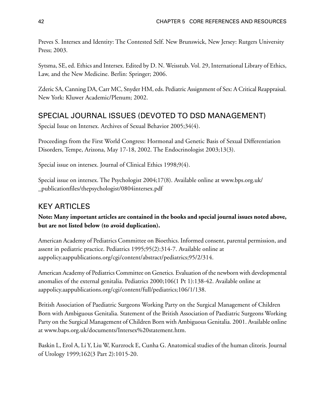Preves S. Intersex and Identity: The Contested Self. New Brunswick, New Jersey: Rutgers University Press; 2003.

Sytsma, SE, ed. Ethics and Intersex. Edited by D. N. Weisstub. Vol. 29, International Library of Ethics, Law, and the New Medicine. Berlin: Springer; 2006.

Zderic SA, Canning DA, Carr MC, Snyder HM, eds. Pediatric Assignment of Sex: A Critical Reappraisal. New York: Kluwer Academic/Plenum; 2002.

# SPECIAL JOURNAL ISSUES (DEVOTED TO DSD MANAGEMENT)

Special Issue on Intersex. Archives of Sexual Behavior 2005;34(4).

Proceedings from the First World Congress: Hormonal and Genetic Basis of Sexual Differentiation Disorders, Tempe, Arizona, May 17-18, 2002. The Endocrinologist 2003;13(3).

Special issue on intersex. Journal of Clinical Ethics 1998;9(4).

Special issue on intersex. The Psychologist 2004;17(8). Available online at [www.bps.org.uk/](http://www.bps.org.uk/_publicationfiles/thepsychologist/0804intersex.pdf) [\\_publicationfiles/thepsychologist/0804intersex.pdf](http://www.bps.org.uk/_publicationfiles/thepsychologist/0804intersex.pdf)

# KEY ARTICLES

**Note: Many important articles are contained in the books and special journal issues noted above, but are not listed below (to avoid duplication).**

American Academy of Pediatrics Committee on Bioethics. Informed consent, parental permission, and assent in pediatric practice. Pediatrics 1995;95(2):314-7. Available online at [aappolicy.aappublications.org/cgi/content/abstract/pediatrics;95/2/314.](http://aappolicy.aappublications.org/cgi/content/abstract/pediatrics;95/2/314)

American Academy of Pediatrics Committee on Genetics. Evaluation of the newborn with developmental anomalies of the external genitalia. Pediatrics 2000;106(1 Pt 1):138-42. Available online at [aappolicy.aappublications.org/cgi/content/full/pediatrics;106/1/138](http://aappolicy.aappublications.org/cgi/content/full/pediatrics;106/1/138).

British Association of Paediatric Surgeons Working Party on the Surgical Management of Children Born with Ambiguous Genitalia. Statement of the British Association of Paediatric Surgeons Working Party on the Surgical Management of Children Born with Ambiguous Genitalia. 2001. Available online at [www.baps.org.uk/documents/Intersex%20statement.htm.](http://www.baps.org.uk/documents/Intersex%20statement.htm)

Baskin L, Erol A, Li Y, Liu W, Kurzrock E, Cunha G. Anatomical studies of the human clitoris. Journal of Urology 1999;162(3 Part 2):1015-20.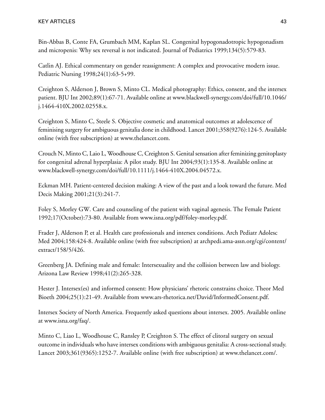Bin-Abbas B, Conte FA, Grumbach MM, Kaplan SL. Congenital hypogonadotropic hypogonadism and micropenis: Why sex reversal is not indicated. Journal of Pediatrics 1999;134(5):579-83.

Catlin AJ. Ethical commentary on gender reassignment: A complex and provocative modern issue. Pediatric Nursing 1998;24(1):63-5+99.

Creighton S, Alderson J, Brown S, Minto CL. Medical photography: Ethics, consent, and the intersex patient. BJU Int 2002;89(1):67-71. Available online at [www.blackwell-synergy.com/doi/full/10.1046/](http://www.blackwell-synergy.com/doi/full/10.1046/j.1464-410X.2002.02558.x) [j.1464-410X.2002.02558.x.](http://www.blackwell-synergy.com/doi/full/10.1046/j.1464-410X.2002.02558.x)

Creighton S, Minto C, Steele S. Objective cosmetic and anatomical outcomes at adolescence of feminising surgery for ambiguous genitalia done in childhood. Lancet 2001;358(9276):124-5. Available online (with free subscription) at [www.thelancet.com.](http://www.thelancet.com)

Crouch N, Minto C, Laio L, Woodhouse C, Creighton S. Genital sensation after feminizing genitoplasty for congenital adrenal hyperplasia: A pilot study. BJU Int 2004;93(1):135-8. Available online at [www.blackwell-synergy.com/doi/full/10.1111/j.1464-410X.2004.04572.x](http://www.blackwell-synergy.com/doi/full/10.1111/j.1464-410X.2004.04572.x).

Eckman MH. Patient-centered decision making: A view of the past and a look toward the future. Med Decis Making 2001;21(3):241-7.

Foley S, Morley GW. Care and counseling of the patient with vaginal agenesis. The Female Patient 1992;17(October):73-80. Available from [www.isna.org/pdf/foley-morley.pdf.](http://www.isna.org/pdf/foley-morley.pdf)

Frader J, Alderson P, et al. Health care professionals and intersex conditions. Arch Pediatr Adolesc Med 2004;158:424-8. Available online (with free subscription) at [archpedi.ama-assn.org/cgi/content/](http://archpedi.ama-assn.org/cgi/content/extract/158/5/426) [extract/158/5/426.](http://archpedi.ama-assn.org/cgi/content/extract/158/5/426)

Greenberg JA. Defining male and female: Intersexuality and the collision between law and biology. Arizona Law Review 1998;41(2):265-328.

Hester J. Intersex(es) and informed consent: How physicians' rhetoric constrains choice. Theor Med Bioeth 2004;25(1):21-49. Available from [www.ars-rhetorica.net/David/InformedConsent.pdf.](http://www.ars-rhetorica.net/David/InformedConsent.pdf)

Intersex Society of North America. Frequently asked questions about intersex. 2005. Available online at [www.isna.org/faq/.](http://www.isna.org/faq/)

Minto C, Liao L, Woodhouse C, Ransley P, Creighton S. The effect of clitoral surgery on sexual outcome in individuals who have intersex conditions with ambiguous genitalia: A cross-sectional study. Lancet 2003;361(9365):1252-7. Available online (with free subscription) at [www.thelancet.com/.](http://www.thelancet.com/)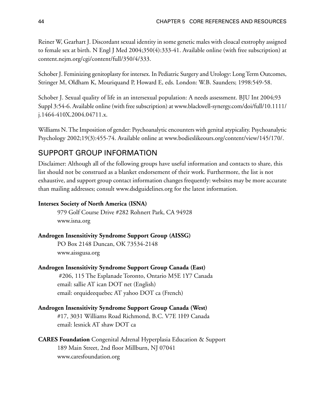Reiner W, Gearhart J. Discordant sexual identity in some genetic males with cloacal exstrophy assigned to female sex at birth. N Engl J Med 2004;350(4):333-41. Available online (with free subscription) at [content.nejm.org/cgi/content/full/350/4/333.](http://content.nejm.org/cgi/content/full/350/4/333)

Schober J. Feminizing genitoplasty for intersex. In Pediatric Surgery and Urology: Long Term Outcomes, Stringer M, Oldham K, Mouriquand P, Howard E, eds. London: W.B. Saunders; 1998:549-58.

Schober J. Sexual quality of life in an intersexual population: A needs assessment. BJU Int 2004;93 Suppl 3:54-6. Available online (with free subscription) at [www.blackwell-synergy.com/doi/full/10.1111/](http://www.blackwell-synergy.com/doi/full/10.1111/j.1464-410X.2004.04711.x) [j.1464-410X.2004.04711.x.](http://www.blackwell-synergy.com/doi/full/10.1111/j.1464-410X.2004.04711.x)

Williams N. The Imposition of gender: Psychoanalytic encounters with genital atypicality. Psychoanalytic Psychology 2002;19(3):455-74. Available online at [www.bodieslikeours.org/content/view/145/170/](http://www.bodieslikeours.org/content/view/145/170/).

# <span id="page-52-0"></span>SUPPORT GROUP INFORMATION

Disclaimer: Although all of the following groups have useful information and contacts to share, this list should not be construed as a blanket endorsement of their work. Furthermore, the list is not exhaustive, and support group contact information changes frequently: websites may be more accurate than mailing addresses; consult [www.dsdguidelines.org](http://www.dsdguidelines.org) for the latest information.

### **Intersex Society of North America (ISNA)**

 979 Golf Course Drive #282 Rohnert Park, CA 94928 [www.isna.org](http://www.isna.org)

#### **Androgen Insensitivity Syndrome Support Group (AISSG)**

 PO Box 2148 Duncan, OK 73534-2148 [www.aissgusa.org](http://www.aissgusa.org)

**Androgen Insensitivity Syndrome Support Group Canada (East)** #206, 115 The Esplanade Toronto, Ontario M5E 1Y7 Canada email: sallie AT ican DOT net (English) email: orquideequebec AT yahoo DOT ca (French)

### **Androgen Insensitivity Syndrome Support Group Canada (West)**

 #17, 3031 Williams Road Richmond, B.C. V7E 1H9 Canada email: lesnick AT shaw DOT ca

### **CARES Foundation** Congenital Adrenal Hyperplasia Education & Support 189 Main Street, 2nd floor Millburn, NJ 07041 [www.caresfoundation.org](http://www.caresfoundation.org)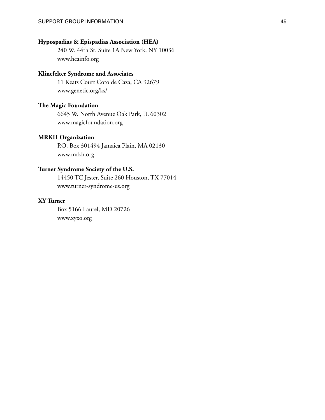### **Hypospadias & Epispadias Association (HEA)**

 240 W. 44th St. Suite 1A New York, NY 10036 [www.heainfo.org](http://www.heainfo.org)

#### **Klinefelter Syndrome and Associates**

 11 Keats Court Coto de Caza, CA 92679 [www.genetic.org/ks/](http://www.genetic.org/ks/)

#### **The Magic Foundation**

 6645 W. North Avenue Oak Park, IL 60302 [www.magicfoundation.org](http://www.magicfoundation.org)

#### **MRKH Organization**

 P.O. Box 301494 Jamaica Plain, MA 02130 [www.mrkh.org](http://www.mrkh.org)

#### **Turner Syndrome Society of the U.S.**

 14450 TC Jester, Suite 260 Houston, TX 77014 [www.turner-syndrome-us.org](http://www.turner-syndrome-us.org)

#### **XY Turner**

 Box 5166 Laurel, MD 20726 [www.xyxo.org](http://www.xyxo.org)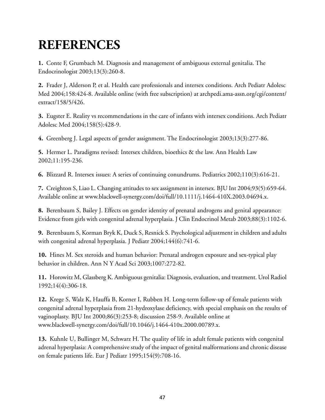# **REFERENCES**

**1.** Conte F, Grumbach M. Diagnosis and management of ambiguous external genitalia. The Endocrinologist 2003;13(3):260-8.

<span id="page-55-0"></span>**2.** Frader J, Alderson P, et al. Health care professionals and intersex conditions. Arch Pediatr Adolesc Med 2004;158:424-8. Available online (with free subscription) at [archpedi.ama-assn.org/cgi/content/](http://archpedi.ama-assn.org/cgi/content/extract/158/5/426) [extract/158/5/426.](http://archpedi.ama-assn.org/cgi/content/extract/158/5/426)

**3.** Eugster E. Reality vs recommendations in the care of infants with intersex conditions. Arch Pediatr Adolesc Med 2004;158(5):428-9.

**4.** Greenberg J. Legal aspects of gender assignment. The Endocrinologist 2003;13(3):277-86.

**5.** Hermer L. Paradigms revised: Intersex children, bioethics & the law. Ann Health Law 2002;11:195-236.

**6.** Blizzard R. Intersex issues: A series of continuing conundrums. Pediatrics 2002;110(3):616-21.

**7.** Creighton S, Liao L. Changing attitudes to sex assignment in intersex. BJU Int 2004;93(5):659-64. Available online at [www.blackwell-synergy.com/doi/full/10.1111/j.1464-410X.2003.04694.x.](http://www.blackwell-synergy.com/doi/full/10.1111/j.1464-410X.2003.04694.x)

**8.** Berenbaum S, Bailey J. Effects on gender identity of prenatal androgens and genital appearance: Evidence from girls with congenital adrenal hyperplasia. J Clin Endocrinol Metab 2003;88(3):1102-6.

**9.** Berenbaum S, Korman Bryk K, Duck S, Resnick S. Psychological adjustment in children and adults with congenital adrenal hyperplasia. J Pediatr 2004;144(6):741-6.

**10.** Hines M. Sex steroids and human behavior: Prenatal androgen exposure and sex-typical play behavior in children. Ann N Y Acad Sci 2003;1007:272-82.

**11.** Horowitz M, Glassberg K. Ambiguous genitalia: Diagnosis, evaluation, and treatment. Urol Radiol 1992;14(4):306-18.

**12.** Krege S, Walz K, Hauffa B, Korner I, Rubben H. Long-term follow-up of female patients with congenital adrenal hyperplasia from 21-hydroxylase deficiency, with special emphasis on the results of vaginoplasty. BJU Int 2000;86(3):253-8; discussion 258-9. Available online at [www.blackwell-synergy.com/doi/full/10.1046/j.1464-410x.2000.00789.x.](http://www.blackwell-synergy.com/doi/full/10.1046/j.1464-410x.2000.00789.x)

**13.** Kuhnle U, Bullinger M, Schwarz H. The quality of life in adult female patients with congenital adrenal hyperplasia: A comprehensive study of the impact of genital malformations and chronic disease on female patients life. Eur J Pediatr 1995;154(9):708-16.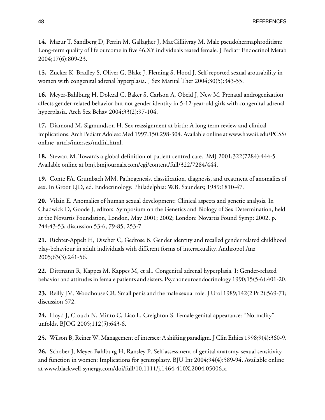**14.** Mazur T, Sandberg D, Perrin M, Gallagher J, MacGilliivray M. Male pseudohermaphroditism: Long-term quality of life outcome in five 46,XY individuals reared female. J Pediatr Endocrinol Metab 2004;17(6):809-23.

<span id="page-56-1"></span>**15.** Zucker K, Bradley S, Oliver G, Blake J, Fleming S, Hood J. Self-reported sexual arousability in women with congenital adrenal hyperplasia. J Sex Marital Ther 2004;30(5):343-55.

**16.** Meyer-Bahlburg H, Dolezal C, Baker S, Carlson A, Obeid J, New M. Prenatal androgenization affects gender-related behavior but not gender identity in 5-12-year-old girls with congenital adrenal hyperplasia. Arch Sex Behav 2004;33(2):97-104.

**17.** Diamond M, Sigmundson H. Sex reassignment at birth: A long term review and clinical implications. Arch Pediatr Adolesc Med 1997;150:298-304. Available online at [www.hawaii.edu/PCSS/](http://www.hawaii.edu/PCSS/online_artcls/intersex/mdfnl.html) [online\\_artcls/intersex/mdfnl.html](http://www.hawaii.edu/PCSS/online_artcls/intersex/mdfnl.html).

<span id="page-56-0"></span>**18.** Stewart M. Towards a global definition of patient centred care. BMJ 2001;322(7284):444-5. Available online at [bmj.bmjjournals.com/cgi/content/full/322/7284/444](http://bmj.bmjjournals.com/cgi/content/full/322/7284/444).

**19.** Conte FA, Grumbach MM. Pathogenesis, classification, diagnosis, and treatment of anomalies of sex. In Groot LJD, ed. Endocrinology. Philadelphia: W.B. Saunders; 1989:1810-47.

**20.** Vilain E. Anomalies of human sexual development: Clinical aspects and genetic analysis. In Chadwick D, Goode J, editors. Symposium on the Genetics and Biology of Sex Determination, held at the Novartis Foundation, London, May 2001; 2002; London: Novartis Found Symp; 2002. p. 244:43-53; discussion 53-6, 79-85, 253-7.

**21.** Richter-Appelt H, Discher C, Gedrose B. Gender identity and recalled gender related childhood play-behaviour in adult individuals with different forms of intersexuality. Anthropol Anz 2005;63(3):241-56.

<span id="page-56-3"></span>**22.** Dittmann R, Kappes M, Kappes M, et al.. Congenital adrenal hyperplasia. I: Gender-related behavior and attitudes in female patients and sisters. Psychoneuroendocrinology 1990;15(5-6):401-20.

**23.** Reilly JM, Woodhouse CR. Small penis and the male sexual role. J Urol 1989;142(2 Pt 2):569-71; discussion 572.

<span id="page-56-2"></span>**24.** Lloyd J, Crouch N, Minto C, Liao L, Creighton S. Female genital appearance: "Normality" unfolds. BJOG 2005;112(5):643-6.

**25.** Wilson B, Reiner W. Management of intersex: A shifting paradigm. J Clin Ethics 1998;9(4):360-9.

**26.** Schober J, Meyer-Bahlburg H, Ransley P. Self-assessment of genital anatomy, sexual sensitivity and function in women: Implications for genitoplasty. BJU Int 2004;94(4):589-94. Available online at [www.blackwell-synergy.com/doi/full/10.1111/j.1464-410X.2004.05006.x](http://www.blackwell-synergy.com/doi/full/10.1111/j.1464-410X.2004.05006.x).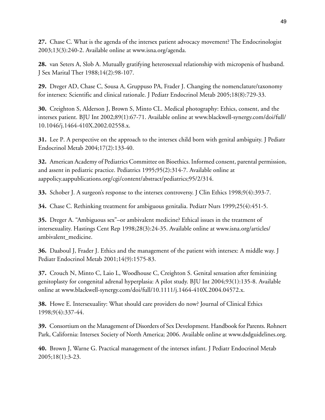**27.** Chase C. What is the agenda of the intersex patient advocacy movement? The Endocrinologist 2003;13(3):240-2. Available online at [www.isna.org/agenda](http://www.isna.org/agenda).

<span id="page-57-5"></span>**28.** van Seters A, Slob A. Mutually gratifying heterosexual relationship with micropenis of husband. J Sex Marital Ther 1988;14(2):98-107.

**29.** Dreger AD, Chase C, Sousa A, Gruppuso PA, Frader J. Changing the nomenclature/taxonomy for intersex: Scientific and clinical rationale. J Pediatr Endocrinol Metab 2005;18(8):729-33.

<span id="page-57-7"></span>**30.** Creighton S, Alderson J, Brown S, Minto CL. Medical photography: Ethics, consent, and the intersex patient. BJU Int 2002;89(1):67-71. Available online at [www.blackwell-synergy.com/doi/full/](http://www.blackwell-synergy.com/doi/full/10.1046/j.1464-410X.2002.02558.x) [10.1046/j.1464-410X.2002.02558.x.](http://www.blackwell-synergy.com/doi/full/10.1046/j.1464-410X.2002.02558.x)

<span id="page-57-6"></span>**31.** Lee P. A perspective on the approach to the intersex child born with genital ambiguity. J Pediatr Endocrinol Metab 2004;17(2):133-40.

**32.** American Academy of Pediatrics Committee on Bioethics. Informed consent, parental permission, and assent in pediatric practice. Pediatrics 1995;95(2):314-7. Available online at [aappolicy.aappublications.org/cgi/content/abstract/pediatrics;95/2/314.](http://aappolicy.aappublications.org/cgi/content/abstract/pediatrics;95/2/314)

<span id="page-57-4"></span><span id="page-57-3"></span>**33.** Schober J. A surgeon's response to the intersex controversy. J Clin Ethics 1998;9(4):393-7.

**34.** Chase C. Rethinking treatment for ambiguous genitalia. Pediatr Nurs 1999;25(4):451-5.

<span id="page-57-1"></span>**35.** Dreger A. "Ambiguous sex"–or ambivalent medicine? Ethical issues in the treatment of intersexuality. Hastings Cent Rep 1998;28(3):24-35. Available online at [www.isna.org/articles/](http://www.isna.org/articles/ambivalent_medicine) ambivalent medicine.

<span id="page-57-2"></span>**36.** Daaboul J, Frader J. Ethics and the management of the patient with intersex: A middle way. J Pediatr Endocrinol Metab 2001;14(9):1575-83.

<span id="page-57-0"></span>**37.** Crouch N, Minto C, Laio L, Woodhouse C, Creighton S. Genital sensation after feminizing genitoplasty for congenital adrenal hyperplasia: A pilot study. BJU Int 2004;93(1):135-8. Available online at [www.blackwell-synergy.com/doi/full/10.1111/j.1464-410X.2004.04572.x](http://www.blackwell-synergy.com/doi/full/10.1111/j.1464-410X.2004.04572.x).

**38.** Howe E. Intersexuality: What should care providers do now? Journal of Clinical Ethics 1998;9(4):337-44.

**39.** Consortium on the Management of Disorders of Sex Development. Handbook for Parents. Rohnert Park, California: Intersex Society of North America; 2006. Available online at [www.dsdguidelines.org](http://www.dsdguidelines.org).

**40.** Brown J, Warne G. Practical management of the intersex infant. J Pediatr Endocrinol Metab 2005;18(1):3-23.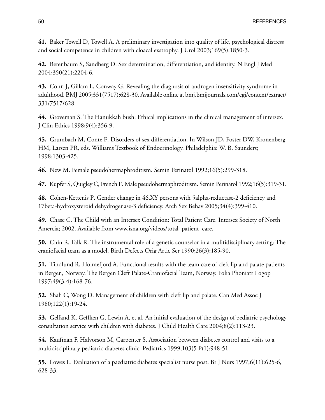**41.** Baker Towell D, Towell A. A preliminary investigation into quality of life, psychological distress and social competence in children with cloacal exstrophy. J Urol 2003;169(5):1850-3.

**42.** Berenbaum S, Sandberg D. Sex determination, differentiation, and identity. N Engl J Med 2004;350(21):2204-6.

<span id="page-58-1"></span>**43.** Conn J, Gillam L, Conway G. Revealing the diagnosis of androgen insensitivity syndrome in adulthood. BMJ 2005;331(7517):628-30. Available online at [bmj.bmjjournals.com/cgi/content/extract/](http://bmj.bmjjournals.com/cgi/content/extract/331/7517/628) [331/7517/628.](http://bmj.bmjjournals.com/cgi/content/extract/331/7517/628)

<span id="page-58-3"></span>**44.** Groveman S. The Hanukkah bush: Ethical implications in the clinical management of intersex. J Clin Ethics 1998;9(4):356-9.

**45.** Grumbach M, Conte F. Disorders of sex differentiation. In Wilson JD, Foster DW, Kronenberg HM, Larsen PR, eds. Williams Textbook of Endocrinology. Philadelphia: W. B. Saunders; 1998:1303-425.

**46.** New M. Female pseudohermaphroditism. Semin Perinatol 1992;16(5):299-318.

<span id="page-58-0"></span>**47.** Kupfer S, Quigley C, French F. Male pseudohermaphroditism. Semin Perinatol 1992;16(5):319-31.

<span id="page-58-2"></span>**48.** Cohen-Kettenis P. Gender change in 46,XY persons with 5alpha-reductase-2 deficiency and 17beta-hydroxysteroid dehydrogenase-3 deficiency. Arch Sex Behav 2005;34(4):399-410.

**49.** Chase C. The Child with an Intersex Condition: Total Patient Care. Intersex Society of North Amercia; 2002. Available from [www.isna.org/videos/total\\_patient\\_care](http://www.isna.org/videos/total_patient_care).

**50.** Chin R, Falk R. The instrumental role of a genetic counselor in a mulitidisciplinary setting: The craniofacial team as a model. Birth Defects Orig Artic Ser 1990;26(3):185-90.

**51.** Tindlund R, Holmefjord A. Functional results with the team care of cleft lip and palate patients in Bergen, Norway. The Bergen Cleft Palate-Craniofacial Team, Norway. Folia Phoniatr Logop 1997;49(3-4):168-76.

**52.** Shah C, Wong D. Management of children with cleft lip and palate. Can Med Assoc J 1980;122(1):19-24.

**53.** Gelfand K, Geffken G, Lewin A, et al. An initial evaluation of the design of pediatric psychology consultation service with children with diabetes. J Child Health Care 2004;8(2):113-23.

**54.** Kaufman F, Halvorson M, Carpenter S. Association between diabetes control and visits to a multidisciplinary pediatric diabetes clinic. Pediatrics 1999;103(5 Pt1):948-51.

**55.** Lowes L. Evaluation of a paediatric diabetes specialist nurse post. Br J Nurs 1997;6(11):625-6, 628-33.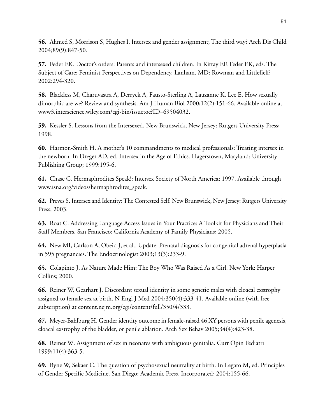**56.** Ahmed S, Morrison S, Hughes I. Intersex and gender assignment; The third way? Arch Dis Child 2004;89(9):847-50.

**57.** Feder EK. Doctor's orders: Parents and intersexed children. In Kittay EF, Feder EK, eds. The Subject of Care: Feminist Perspectives on Dependency. Lanham, MD: Rowman and Littlefielf; 2002:294-320.

**58.** Blackless M, Charuvastra A, Derryck A, Fausto-Sterling A, Lauzanne K, Lee E. How sexually dimorphic are we? Review and synthesis. Am J Human Biol 2000;12(2):151-66. Available online at [www3.interscience.wiley.com/cgi-bin/issuetoc?ID=69504032.](http://www3.interscience.wiley.com/cgi-bin/issuetoc?ID=69504032)

<span id="page-59-3"></span>**59.** Kessler S. Lessons from the Intersexed. New Brunswick, New Jersey: Rutgers University Press; 1998.

<span id="page-59-1"></span>**60.** Harmon-Smith H. A mother's 10 commandments to medical professionals: Treating intersex in the newborn. In Dreger AD, ed. Intersex in the Age of Ethics. Hagerstown, Maryland: University Publishing Group; 1999:195-6.

<span id="page-59-2"></span>**61.** Chase C. Hermaphrodites Speak!: Intersex Society of North America; 1997. Available through [www.isna.org/videos/hermaphrodites\\_speak.](http://www.isna.org/videos/hermaphrodites_speak)

**62.** Preves S. Intersex and Identity: The Contested Self. New Brunswick, New Jersey: Rutgers University Press; 2003.

**63.** Roat C. Addressing Language Access Issues in Your Practice: A Toolkit for Physicians and Their Staff Members. San Francisco: California Academy of Family Physicians; 2005.

**64.** New MI, Carlson A, Obeid J, et al.. Update: Prenatal diagnosis for congenital adrenal hyperplasia in 595 pregnancies. The Endocrinologist 2003;13(3):233-9.

**65.** Colapinto J. As Nature Made Him: The Boy Who Was Raised As a Girl. New York: Harper Collins; 2000.

<span id="page-59-0"></span>**66.** Reiner W, Gearhart J. Discordant sexual identity in some genetic males with cloacal exstrophy assigned to female sex at birth. N Engl J Med 2004;350(4):333-41. Available online (with free subscription) at [content.nejm.org/cgi/content/full/350/4/333.](http://content.nejm.org/cgi/content/full/350/4/333)

**67.** Meyer-Bahlburg H. Gender identity outcome in female-raised 46,XY persons with penile agenesis, cloacal exstrophy of the bladder, or penile ablation. Arch Sex Behav 2005;34(4):423-38.

**68.** Reiner W. Assignment of sex in neonates with ambiguous genitalia. Curr Opin Pediatri 1999;11(4):363-5.

**69.** Byne W, Sekaer C. The question of psychosexual neutrality at birth. In Legato M, ed. Principles of Gender Specific Medicine. San Diego: Academic Press, Incorporated; 2004:155-66.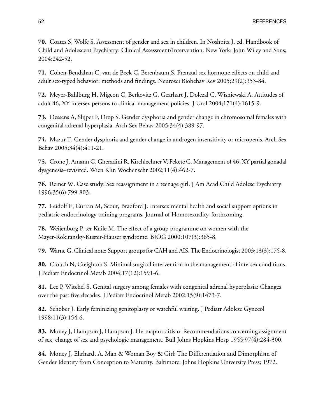**70.** Coates S, Wolfe S. Assessment of gender and sex in children. In Noshpitz J, ed. Handbook of Child and Adolescent Psychiatry: Clinical Assessment/Intervention. New York: John Wiley and Sons; 2004:242-52.

**71.** Cohen-Bendahan C, van de Beek C, Berenbaum S. Prenatal sex hormone effects on child and adult sex-typed behavior: methods and findings. Neurosci Biobehav Rev 2005;29(2):353-84.

<span id="page-60-6"></span><span id="page-60-4"></span>**72.** Meyer-Bahlburg H, Migeon C, Berkovitz G, Gearhart J, Dolezal C, Wisniewski A. Attitudes of adult 46, XY intersex persons to clinical management policies. J Urol 2004;171(4):1615-9.

<span id="page-60-5"></span>**73.** Dessens A, Slijper F, Drop S. Gender dysphoria and gender change in chromosomal females with congenital adrenal hyperplasia. Arch Sex Behav 2005;34(4):389-97.

**74.** Mazur T. Gender dysphoria and gender change in androgen insensitivity or micropenis. Arch Sex Behav 2005;34(4):411-21.

**75.** Crone J, Amann C, Gheradini R, Kirchlechner V, Fekete C. Management of 46, XY partial gonadal dysgenesis–revisited. Wien Klin Wochenschr 2002;11(4):462-7.

**76.** Reiner W. Case study: Sex reassignment in a teenage girl. J Am Acad Child Adolesc Psychiatry 1996;35(6):799-803.

**77.** Leidolf E, Curran M, Scout, Bradford J. Intersex mental health and social support options in pediatric endocrinology training programs. Journal of Homosexuality, forthcoming.

<span id="page-60-7"></span><span id="page-60-0"></span>**78.** Weijenborg P, ter Kuile M. The effect of a group programme on women with the Mayer-Rokitansky-Kuster-Hauser syndrome. BJOG 2000;107(3):365-8.

**79.** Warne G. Clinical note: Support groups for CAH and AIS. The Endocrinologist 2003;13(3):175-8.

<span id="page-60-1"></span>**80.** Crouch N, Creighton S. Minimal surgical intervention in the management of intersex conditions. J Pediatr Endocrinol Metab 2004;17(12):1591-6.

<span id="page-60-2"></span>**81.** Lee P, Witchel S. Genital surgery among females with congenital adrenal hyperplasia: Changes over the past five decades. J Pediatr Endocrinol Metab 2002;15(9):1473-7.

<span id="page-60-3"></span>**82.** Schober J. Early feminizing genitoplasty or watchful waiting. J Pediatr Adolesc Gynecol 1998;11(3):154-6.

**83.** Money J, Hampson J, Hampson J. Hermaphroditism: Recommendations concerning assignment of sex, change of sex and psychologic management. Bull Johns Hopkins Hosp 1955;97(4):284-300.

**84.** Money J, Ehrhardt A. Man & Woman Boy & Girl: The Differentiation and Dimorphism of Gender Identity from Conception to Maturity. Baltimore: Johns Hopkins University Press; 1972.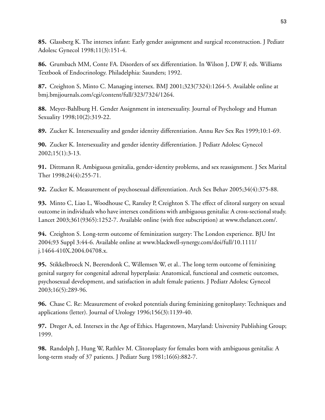**85.** Glassberg K. The intersex infant: Early gender assignment and surgical reconstruction. J Pediatr Adolesc Gynecol 1998;11(3):151-4.

<span id="page-61-0"></span>**86.** Grumbach MM, Conte FA. Disorders of sex differentiation. In Wilson J, DW F, eds. Williams Textbook of Endocrinology. Philadelphia: Saunders; 1992.

<span id="page-61-1"></span>**87.** Creighton S, Minto C. Managing intersex. BMJ 2001;323(7324):1264-5. Available online at [bmj.bmjjournals.com/cgi/content/full/323/7324/1264.](http://bmj.bmjjournals.com/cgi/content/full/323/7324/1264)

<span id="page-61-2"></span>**88.** Meyer-Bahlburg H. Gender Assignment in intersexuality. Journal of Psychology and Human Sexuality 1998;10(2):319-22.

**89.** Zucker K. Intersexuality and gender identity differentiation. Annu Rev Sex Res 1999;10:1-69.

<span id="page-61-3"></span>**90.** Zucker K. Intersexuality and gender identity differentiation. J Pediatr Adolesc Gynecol 2002;15(1):3-13.

<span id="page-61-4"></span>**91.** Dittmann R. Ambiguous genitalia, gender-identity problems, and sex reassignment. J Sex Marital Ther 1998;24(4):255-71.

<span id="page-61-5"></span>**92.** Zucker K. Measurement of psychosexual differentiation. Arch Sex Behav 2005;34(4):375-88.

**93.** Minto C, Liao L, Woodhouse C, Ransley P, Creighton S. The effect of clitoral surgery on sexual outcome in individuals who have intersex conditions with ambiguous genitalia: A cross-sectional study. Lancet 2003;361(9365):1252-7. Available online (with free subscription) at [www.thelancet.com/.](http://www.thelancet.com/)

**94.** Creighton S. Long-term outcome of feminization surgery: The London experience. BJU Int 2004;93 Suppl 3:44-6. Available online at [www.blackwell-synergy.com/doi/full/10.1111/](http://www.blackwell-synergy.com/doi/full/10.1111/j.1464-410X.2004.04708.x) [j.1464-410X.2004.04708.x.](http://www.blackwell-synergy.com/doi/full/10.1111/j.1464-410X.2004.04708.x)

**95.** Stikkelbroeck N, Beerendonk C, Willemsen W, et al.. The long term outcome of feminizing genital surgery for congenital adrenal hyperplasia: Anatomical, functional and cosmetic outcomes, psychosexual development, and satisfaction in adult female patients. J Pediatr Adolesc Gynecol 2003;16(5):289-96.

<span id="page-61-6"></span>**96.** Chase C. Re: Measurement of evoked potentials during feminizing genitoplasty: Techniques and applications (letter). Journal of Urology 1996;156(3):1139-40.

**97.** Dreger A, ed. Intersex in the Age of Ethics. Hagerstown, Maryland: University Publishing Group; 1999.

**98.** Randolph J, Hung W, Rathlev M. Clitoroplasty for females born with ambiguous genitalia: A long-term study of 37 patients. J Pediatr Surg 1981;16(6):882-7.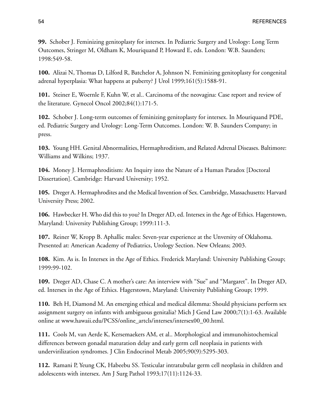**99.** Schober J. Feminizing genitoplasty for intersex. In Pediatric Surgery and Urology: Long Term Outcomes, Stringer M, Oldham K, Mouriquand P, Howard E, eds. London: W.B. Saunders; 1998:549-58.

<span id="page-62-0"></span>**100.** Alizai N, Thomas D, Lilford R, Batchelor A, Johnson N. Feminizing genitoplasty for congenital adrenal hyperplasia: What happens at puberty? J Urol 1999;161(5):1588-91.

<span id="page-62-2"></span><span id="page-62-1"></span>**101.** Steiner E, Woernle F, Kuhn W, et al.. Carcinoma of the neovagina: Case report and review of the literature. Gynecol Oncol 2002;84(1):171-5.

<span id="page-62-3"></span>**102.** Schober J. Long-term outcomes of feminizing genitoplasty for intersex. In Mouriquand PDE, ed. Pediatric Surgery and Urology: Long-Term Outcomes. London: W. B. Saunders Company; in press.

**103.** Young HH. Genital Abnormalities, Hermaphroditism, and Related Adrenal Diseases. Baltimore: Williams and Wilkins; 1937.

**104.** Money J. Hermaphroditism: An Inquiry into the Nature of a Human Paradox [Doctoral Dissertation]. Cambridge: Harvard University; 1952.

**105.** Dreger A. Hermaphrodites and the Medical Invention of Sex. Cambridge, Massachusetts: Harvard University Press; 2002.

**106.** Hawbecker H. Who did this to you? In Dreger AD, ed. Intersex in the Age of Ethics. Hagerstown, Maryland: University Publishing Group; 1999:111-3.

**107.** Reiner W, Kropp B. Aphallic males: Seven-year experience at the Unversity of Oklahoma. Presented at: American Academy of Pediatrics, Urology Section. New Orleans; 2003.

<span id="page-62-4"></span>**108.** Kim. As is. In Intersex in the Age of Ethics. Frederick Maryland: University Publishing Group; 1999:99-102.

<span id="page-62-5"></span>**109.** Dreger AD, Chase C. A mother's care: An interview with "Sue" and "Margaret". In Dreger AD, ed. Intersex in the Age of Ethics. Hagerstown, Maryland: University Publishing Group; 1999.

<span id="page-62-6"></span>**110.** Beh H, Diamond M. An emerging ethical and medical dilemma: Should physicians perform sex assignment surgery on infants with ambiguous genitalia? Mich J Gend Law 2000;7(1):1-63. Available online at [www.hawaii.edu/PCSS/online\\_artcls/intersex/intersex00\\_00.html.](http://www.hawaii.edu/PCSS/online_artcls/intersex/intersex00_00.html)

**111.** Cools M, van Aerde K, Kersemaekers AM, et al.. Morphological and immunohistochemical differences between gonadal maturation delay and early germ cell neoplasia in patients with undervirilization syndromes. J Clin Endocrinol Metab 2005;90(9):5295-303.

**112.** Ramani P, Yeung CK, Habeebu SS. Testicular intratubular germ cell neoplasia in children and adolescents with intersex. Am J Surg Pathol 1993;17(11):1124-33.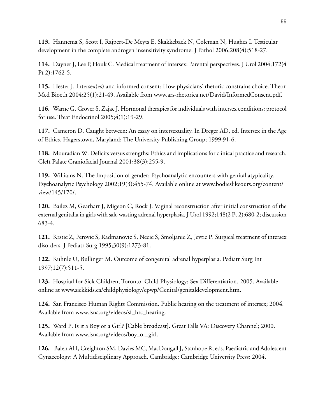<span id="page-63-0"></span>**113.** Hannema S, Scott I, Rajpert-De Meyts E, Skakkebaek N, Coleman N, Hughes I. Testicular development in the complete androgen insensitivity syndrome. J Pathol 2006;208(4):518-27.

<span id="page-63-1"></span>**114.** Dayner J, Lee P, Houk C. Medical treatment of intersex: Parental perspectives. J Urol 2004;172(4 Pt 2):1762-5.

<span id="page-63-2"></span>**115.** Hester J. Intersex(es) and informed consent: How physicians' rhetoric constrains choice. Theor Med Bioeth 2004;25(1):21-49. Available from [www.ars-rhetorica.net/David/InformedConsent.pdf](http://www.ars-rhetorica.net/David/InformedConsent.pdf).

<span id="page-63-4"></span><span id="page-63-3"></span>**116.** Warne G, Grover S, Zajac J. Hormonal therapies for individuals with intersex conditions: protocol for use. Treat Endocrinol 2005;4(1):19-29.

<span id="page-63-5"></span>**117.** Cameron D. Caught between: An essay on intersexuality. In Dreger AD, ed. Intersex in the Age of Ethics. Hagerstown, Maryland: The University Publishing Group; 1999:91-6.

<span id="page-63-6"></span>**118.** Mouradian W. Deficits versus strengths: Ethics and implications for clinical practice and research. Cleft Palate Craniofacial Journal 2001;38(3):255-9.

<span id="page-63-7"></span>**119.** Williams N. The Imposition of gender: Psychoanalytic encounters with genital atypicality. Psychoanalytic Psychology 2002;19(3):455-74. Available online at [www.bodieslikeours.org/content/](http://www.bodieslikeours.org/content/view/145/170/) [view/145/170/.](http://www.bodieslikeours.org/content/view/145/170/)

<span id="page-63-8"></span>**120.** Bailez M, Gearhart J, Migeon C, Rock J. Vaginal reconstruction after initial construction of the external genitalia in girls with salt-wasting adrenal hyperplasia. J Urol 1992;148(2 Pt 2):680-2; discussion 683-4.

<span id="page-63-9"></span>**121.** Krstic Z, Perovic S, Radmanovic S, Necic S, Smoljanic Z, Jevtic P. Surgical treatment of intersex disorders. J Pediatr Surg 1995;30(9):1273-81.

**122.** Kuhnle U, Bullinger M. Outcome of congenital adrenal hyperplasia. Pediatr Surg Int 1997;12(7):511-5.

**123.** Hospital for Sick Children, Toronto. Child Physiology: Sex Differentiation. 2005. Available online at [www.sickkids.ca/childphysiology/cpwp/Genital/genitaldevelopment.htm.](http://www.sickkids.ca/childphysiology/cpwp/Genital/genitaldevelopment.htm)

**124.** San Francisco Human Rights Commission. Public hearing on the treatment of intersex; 2004. Available from [www.isna.org/videos/sf\\_hrc\\_hearing.](http://www.isna.org/videos/sf_hrc_hearing)

**125.** Ward P. Is it a Boy or a Girl? [Cable broadcast]. Great Falls VA: Discovery Channel; 2000. Available from [www.isna.org/videos/boy\\_or\\_girl](http://www.isna.org/videos/boy_or_girl).

**126.** Balen AH, Creighton SM, Davies MC, MacDougall J, Stanhope R, eds. Paediatric and Adolescent Gynaecology: A Multidisciplinary Approach. Cambridge: Cambridge University Press; 2004.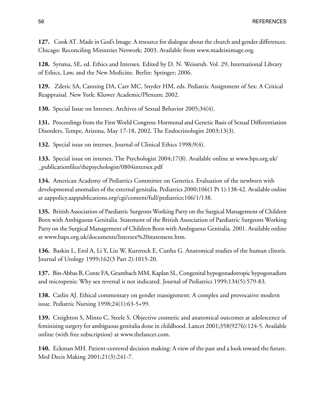**127.** Cook AT. Made in God's Image: A resource for dialogue about the church and gender differences. Chicago: Reconciling Ministries Network; 2003. Available from [www.madeinimage.org](http://www.madeinimage.org).

**128.** Sytsma, SE, ed. Ethics and Intersex. Edited by D. N. Weisstub. Vol. 29, International Library of Ethics, Law, and the New Medicine. Berlin: Springer; 2006.

**129.** Zderic SA, Canning DA, Carr MC, Snyder HM, eds. Pediatric Assignment of Sex: A Critical Reappraisal. New York: Kluwer Academic/Plenum; 2002.

**130.** Special Issue on Intersex. Archives of Sexual Behavior 2005;34(4).

**131.** Proceedings from the First World Congress: Hormonal and Genetic Basis of Sexual Differentiation Disorders, Tempe, Arizona, May 17-18, 2002. The Endocrinologist 2003;13(3).

**132.** Special issue on intersex. Journal of Clinical Ethics 1998;9(4).

**133.** Special issue on intersex. The Psychologist 2004;17(8). Available online at [www.bps.org.uk/](http://www.bps.org.uk/_publicationfiles/thepsychologist/0804intersex.pdf) [\\_publicationfiles/thepsychologist/0804intersex.pdf](http://www.bps.org.uk/_publicationfiles/thepsychologist/0804intersex.pdf)

**134.** American Academy of Pediatrics Committee on Genetics. Evaluation of the newborn with developmental anomalies of the external genitalia. Pediatrics 2000;106(1 Pt 1):138-42. Available online at [aappolicy.aappublications.org/cgi/content/full/pediatrics;106/1/138.](http://aappolicy.aappublications.org/cgi/content/full/pediatrics;106/1/138)

**135.** British Association of Paediatric Surgeons Working Party on the Surgical Management of Children Born with Ambiguous Genitalia. Statement of the British Association of Paediatric Surgeons Working Party on the Surgical Management of Children Born with Ambiguous Genitalia. 2001. Available online at [www.baps.org.uk/documents/Intersex%20statement.htm.](http://www.baps.org.uk/documents/Intersex%20statement.htm)

**136.** Baskin L, Erol A, Li Y, Liu W, Kurzrock E, Cunha G. Anatomical studies of the human clitoris. Journal of Urology 1999;162(3 Part 2):1015-20.

**137.** Bin-Abbas B, Conte FA, Grumbach MM, Kaplan SL. Congenital hypogonadotropic hypogonadism and micropenis: Why sex reversal is not indicated. Journal of Pediatrics 1999;134(5):579-83.

**138.** Catlin AJ. Ethical commentary on gender reassignment: A complex and provocative modern issue. Pediatric Nursing 1998;24(1):63-5+99.

**139.** Creighton S, Minto C, Steele S. Objective cosmetic and anatomical outcomes at adolescence of feminising surgery for ambiguous genitalia done in childhood. Lancet 2001;358(9276):124-5. Available online (with free subscription) at [www.thelancet.com.](http://www.thelancet.com)

**140.** Eckman MH. Patient-centered decision making: A view of the past and a look toward the future. Med Decis Making 2001;21(3):241-7.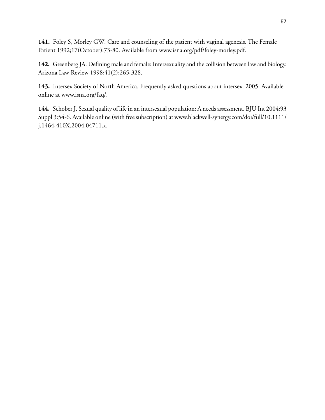**141.** Foley S, Morley GW. Care and counseling of the patient with vaginal agenesis. The Female Patient 1992;17(October):73-80. Available from [www.isna.org/pdf/foley-morley.pdf](http://www.isna.org/pdf/foley-morley.pdf).

**142.** Greenberg JA. Defining male and female: Intersexuality and the collision between law and biology. Arizona Law Review 1998;41(2):265-328.

**143.** Intersex Society of North America. Frequently asked questions about intersex. 2005. Available online at [www.isna.org/faq/](http://www.isna.org/faq/).

**144.** Schober J. Sexual quality of life in an intersexual population: A needs assessment. BJU Int 2004;93 Suppl 3:54-6. Available online (with free subscription) at [www.blackwell-synergy.com/doi/full/10.1111/](http://www.blackwell-synergy.com/doi/full/10.1111/j.1464-410X.2004.04711.x) [j.1464-410X.2004.04711.x.](http://www.blackwell-synergy.com/doi/full/10.1111/j.1464-410X.2004.04711.x)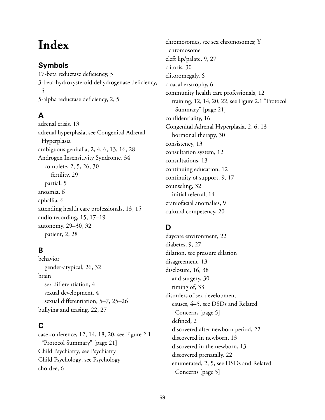# **Index**

# **Symbols**

17-beta reductase deficiency, [5](#page-13-0) 3-beta-hydroxysteroid dehydrogenase deficiency, [5](#page-13-1) 5-alpha reductase deficiency, [2,](#page-10-0) [5](#page-13-2)

# **A**

adrenal crisis, [13](#page-21-0) adrenal hyperplasia, see Congenital Adrenal Hyperplasia ambiguous genitalia, [2,](#page-10-0) [4,](#page-12-0) [6,](#page-14-0) [13,](#page-21-1) [16,](#page-24-0) [28](#page-36-0) Androgen Insensitivity Syndrome, [34](#page-42-0) complete, [2](#page-10-0), [5](#page-13-3), [26](#page-34-0), [30](#page-38-0) fertility, [29](#page-37-0) partial, [5](#page-13-4) anosmia, [6](#page-14-1) aphallia, [6](#page-14-2) attending health care professionals, [13,](#page-21-2) [15](#page-23-0) audio recording, [15,](#page-23-1) [17–19](#page-25-0) autonomy, [29–30](#page-37-1), [32](#page-40-0) patient, [2](#page-10-1), [28](#page-36-1)

# **B**

behavior gender-atypical, [26,](#page-34-1) [32](#page-40-1) brain sex differentiation, [4](#page-12-1) sexual development, [4](#page-12-0) sexual differentiation, [5–7](#page-13-5), [25–26](#page-33-0) bullying and teasing, [22](#page-30-0), [27](#page-35-0)

# **C**

case conference, [12,](#page-20-0) [14,](#page-22-0) [18,](#page-26-0) [20,](#page-28-0) see [Figure 2.1](#page-29-0) ["Protocol Summary" \[page 21\]](#page-29-0) Child Psychiatry, see Psychiatry Child Psychology, see Psychology chordee, [6](#page-14-3)

chromosomes, see sex chromosomes; Y chromosome cleft lip/palate, [9,](#page-17-0) [27](#page-35-1) clitoris, [30](#page-38-1) clitoromegaly, [6](#page-14-4) cloacal exstrophy, [6](#page-14-5) community health care professionals, [12](#page-20-0) training, [12,](#page-20-0) [14](#page-22-1), [20](#page-28-0), [22](#page-30-1), see [Figure 2.1 "Protocol](#page-29-0) [Summary" \[page 21\]](#page-29-0) confidentiality, [16](#page-24-1) Congenital Adrenal Hyperplasia, [2,](#page-10-0) [6,](#page-14-6) [13](#page-21-0) hormonal therapy, [30](#page-38-2) consistency, [13](#page-21-3) consultation system, [12](#page-20-0) consultations, [13](#page-21-4) continuing education, [12](#page-20-0) continuity of support, [9](#page-17-1), [17](#page-25-1) counseling, [32](#page-40-2) initial referral, [14](#page-22-2) craniofacial anomalies, [9](#page-17-0) cultural competency, [20](#page-28-1)

# **D**

daycare environment, [22](#page-30-0) diabetes, [9](#page-17-2), [27](#page-35-1) dilation, see pressure dilation disagreement, [13](#page-21-5) disclosure, [16](#page-24-2), [38](#page-46-0) and surgery, [30](#page-38-3) timing of, [33](#page-41-0) disorders of sex development causes, [4–5](#page-12-2), see [DSDs and Related](#page-13-6) [Concerns \[page 5\]](#page-13-6) defined, [2](#page-10-2) discovered after newborn period, [22](#page-30-2) discovered in newborn, [13](#page-21-6) discovered in the newborn, [13](#page-21-6) discovered prenatally, [22](#page-30-3) enumerated, [2,](#page-10-2) [5,](#page-13-0) see [DSDs and Related](#page-13-6) [Concerns \[page 5\]](#page-13-6)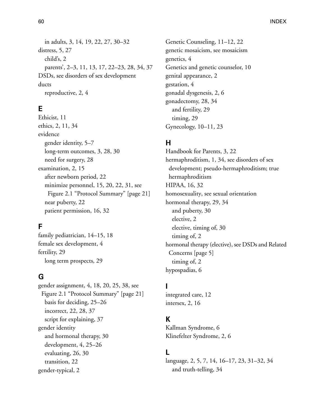in adults, [3](#page-11-0), [14](#page-22-3), [19](#page-27-0), [22](#page-30-4), [27](#page-35-2), [30–32](#page-38-4) distress, [5](#page-13-7), [27](#page-35-0) child's, [2](#page-10-1) parents', [2–3,](#page-10-1) [11,](#page-19-0) [13,](#page-21-6) [17,](#page-25-2) [22–23,](#page-30-5) [28,](#page-36-2) [34,](#page-42-1) [37](#page-45-0) DSDs, see disorders of sex development ducts reproductive, [2](#page-10-3), [4](#page-12-0)

# **E**

Ethicist, [11](#page-19-1) ethics, [2](#page-10-1), [11](#page-19-2), [34](#page-42-0) evidence gender identity, [5–7](#page-13-2) long-term outcomes, [3,](#page-11-1) [28,](#page-36-3) [30](#page-38-5) need for surgery, [28](#page-36-3) examination, [2](#page-10-4), [15](#page-23-2) after newborn period, [22](#page-30-0) minimize personnel, [15,](#page-23-3) [20,](#page-28-0) [22,](#page-30-0) [31,](#page-39-0) see [Figure 2.1 "Protocol Summary" \[page 21\]](#page-29-0) near puberty, [22](#page-30-0) patient permission, [16,](#page-24-3) [32](#page-40-3)

# **F**

family pediatrician, [14–15,](#page-22-4) [18](#page-26-1) female sex development, [4](#page-12-3) fertility, [29](#page-37-2) long term prospects, [29](#page-37-2)

# **G**

gender assignment, [4,](#page-12-4) [18,](#page-26-2) [20,](#page-28-0) [25,](#page-33-0) [38,](#page-46-0) see [Figure 2.1 "Protocol Summary" \[page 21\]](#page-29-0) basis for deciding, [25–26](#page-33-0) incorrect, [22](#page-30-0), [28](#page-36-4), [37](#page-45-1) script for explaining, [37](#page-45-2) gender identity and hormonal therapy, [30](#page-38-2) development, [4,](#page-12-0) [25–26](#page-33-0) evaluating, [26](#page-34-2), [30](#page-38-2) transition, [22](#page-30-0) gender-typical, [2](#page-10-1)

Genetic Counseling, [11–12](#page-19-3), [22](#page-30-3) genetic mosaicism, see mosaicism genetics, [4](#page-12-0) Genetics and genetic counselor, [10](#page-18-0) genital appearance, [2](#page-10-1) gestation, [4](#page-12-5) gonadal dysgenesis, [2](#page-10-3), [6](#page-14-7) gonadectomy, [28](#page-36-5), [34](#page-42-2) and fertility, [29](#page-37-2) timing, [29](#page-37-2) Gynecology, [10–11](#page-18-0), [23](#page-31-0)

## **H**

Handbook for Parents, [3](#page-11-0), [22](#page-30-6) hermaphroditism, [1](#page-9-0), [34](#page-42-3), see disorders of sex development; pseudo-hermaphroditism; true hermaphroditism HIPAA, [16,](#page-24-4) [32](#page-40-4) homosexuality, see sexual orientation hormonal therapy, [29](#page-37-3), [34](#page-42-2) and puberty, [30](#page-38-2) elective, [2](#page-10-1) elective, timing of, [30](#page-38-2) timing of, [2](#page-10-1) hormonal therapy (elective), see [DSDs and Related](#page-13-6) [Concerns \[page 5\]](#page-13-6) timing of, [2](#page-10-1) hypospadias, [6](#page-14-8)

## **I**

integrated care, [12](#page-20-0) intersex, [2,](#page-10-3) [16](#page-24-5)

# **K**

Kallman Syndrome, [6](#page-14-9) Klinefelter Syndrome, [2](#page-10-0), [6](#page-14-10)

## **L**

language, [2,](#page-10-5) [5,](#page-13-8) [7,](#page-15-0) [14,](#page-22-5) [16–17,](#page-24-1) [23,](#page-31-1) [31–32,](#page-39-1) [34](#page-42-3) and truth-telling, [34](#page-42-0)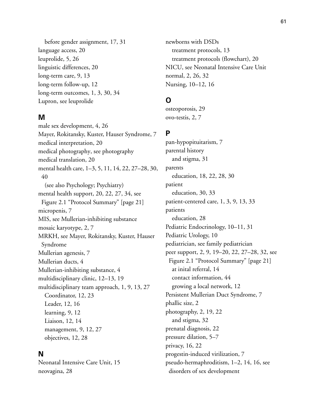before gender assignment, [17](#page-25-3), [31](#page-39-2) language access, [20](#page-28-1) leuprolide, [5,](#page-13-9) [26](#page-34-2) linguistic differences, [20](#page-28-1) long-term care, [9](#page-17-3), [13](#page-21-7) long-term follow-up, [12](#page-20-0) long-term outcomes, [1,](#page-9-1) [3,](#page-11-1) [30,](#page-38-6) [34](#page-42-4) Lupron, see leuprolide

#### **M**

male sex development, [4,](#page-12-0) [26](#page-34-3) Mayer, Rokitansky, Kuster, Hauser Syndrome, [7](#page-15-1) medical interpretation, [20](#page-28-1) medical photography, see photography medical translation, [20](#page-28-1) mental health care, [1–3,](#page-9-0) [5](#page-13-10), [11](#page-19-0), [14,](#page-22-6) [22](#page-30-0), [27–28](#page-35-3), [30,](#page-38-7) [40](#page-48-0) (see also Psychology; Psychiatry) mental health support, [20](#page-28-0), [22](#page-30-1), [27](#page-35-4), [34](#page-42-5), see [Figure 2.1 "Protocol Summary" \[page 21\]](#page-29-0) micropenis, [7](#page-15-2) MIS, see Mullerian-inhibiting substance mosaic karyotype, [2](#page-10-0), [7](#page-15-3) MRKH, see Mayer, Rokitansky, Kuster, Hauser Syndrome Mullerian agenesis, [7](#page-15-1) Mullerian ducts, [4](#page-12-0) Mullerian-inhibiting substance, [4](#page-12-6) multidisciplinary clinic, [12–13](#page-20-0), [19](#page-27-1) multidisciplinary team approach, [1](#page-9-2), [9](#page-17-4), [13](#page-21-8), [27](#page-35-5) Coordinator, [12,](#page-20-1) [23](#page-31-2) Leader, [12](#page-20-1), [16](#page-24-6) learning, [9,](#page-17-5) [12](#page-20-0) Liaison, [12,](#page-20-1) [14](#page-22-7) management, [9,](#page-17-6) [12,](#page-20-2) [27](#page-35-6) objectives, [12,](#page-20-0) [28](#page-36-6)

#### **N**

Neonatal Intensive Care Unit, [15](#page-23-3) neovagina, [28](#page-36-7)

newborns with DSDs treatment protocols, [13](#page-21-6) treatment protocols (flowchart), [20](#page-28-0) NICU, see Neonatal Intensive Care Unit normal, [2](#page-10-1), [26](#page-34-1), [32](#page-40-1) Nursing, [10–12,](#page-18-0) [16](#page-24-4)

# **O**

osteoporosis, [29](#page-37-3) ovo-testis, [2](#page-10-0), [7](#page-15-0)

## **P**

pan-hypopituitarism, [7](#page-15-4) parental history and stigma, [31](#page-39-3) parents education, [18,](#page-26-3) [22,](#page-30-1) [28,](#page-36-8) [30](#page-38-6) patient education, [30,](#page-38-6) [33](#page-41-1) patient-centered care, [1,](#page-9-3) [3,](#page-11-2) [9,](#page-17-7) [13,](#page-21-7) [33](#page-41-2) patients education, [28](#page-36-8) Pediatric Endocrinology, [10–11,](#page-18-0) [31](#page-39-4) Pediatric Urology, [10](#page-18-0) pediatrician, see family pediatrician peer support, [2](#page-10-1), [9](#page-17-8), [19–20](#page-27-0), [22](#page-30-7), [27–28](#page-35-7), [32](#page-40-2), see [Figure 2.1 "Protocol Summary" \[page 21\]](#page-29-0) at inital referral, [14](#page-22-8) contact information, [44](#page-52-0) growing a local network, [12](#page-20-0) Persistent Mullerian Duct Syndrome, [7](#page-15-5) phallic size, [2](#page-10-1) photography, [2](#page-10-5), [19](#page-27-2), [22](#page-30-6) and stigma, [32](#page-40-4) prenatal diagnosis, [22](#page-30-3) pressure dilation, [5–7](#page-13-11) privacy, [16](#page-24-1), [22](#page-30-8) progestin-induced virilization, [7](#page-15-6) pseudo-hermaphroditism, [1–2](#page-9-0), [14](#page-22-5), [16](#page-24-5), see disorders of sex development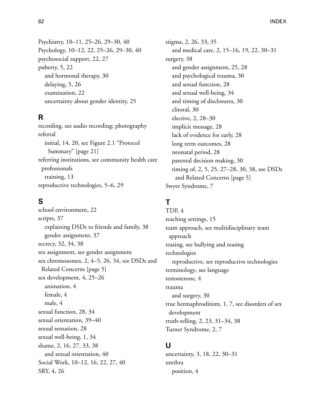Psychiatry, [10–11](#page-18-0), [25–26](#page-33-1), [29–30](#page-37-4), [40](#page-48-1) Psychology, [10–12](#page-18-0), [22](#page-30-7), [25–26](#page-33-1), [29–30](#page-37-4), [40](#page-48-1) psychosocial support, [22](#page-30-0), [27](#page-35-3) puberty, [5,](#page-13-12) [22](#page-30-0) and hormonal therapy, [30](#page-38-2) delaying, [5,](#page-13-13) [26](#page-34-2) examination, [22](#page-30-0) uncertainty about gender identity, [25](#page-33-2)

## **R**

recording, see audio recording; photography referral initial, [14](#page-22-7), [20](#page-28-0), see [Figure 2.1 "Protocol](#page-29-0) [Summary" \[page 21\]](#page-29-0) referring institutions, see community health care professionals training, [13](#page-21-9) reproductive technologies, [5–6](#page-13-14), [29](#page-37-2)

# **S**

school environment, [22](#page-30-0) scripts, [37](#page-45-0) explaining DSDs to friends and family, [38](#page-46-0) gender assignment, [37](#page-45-2) secrecy, [32](#page-40-5), [34](#page-42-1), [38](#page-46-0) sex assignment, see gender assignment sex chromosomes, [2,](#page-10-3) [4–5,](#page-12-0) [26,](#page-34-4) [34,](#page-42-0) see [DSDs and](#page-13-6) [Related Concerns \[page 5\]](#page-13-6) sex development, [4,](#page-12-0) [25–26](#page-33-0) animation, [4](#page-12-7) female, [4](#page-12-0) male, [4](#page-12-0) sexual function, [28](#page-36-7), [34](#page-42-4) sexual orientation, [39–40](#page-47-0) sexual sensation, [28](#page-36-7) sexual well-being, [1,](#page-9-4) [34](#page-42-4) shame, [2](#page-10-1), [16](#page-24-7), [27](#page-35-0), [33](#page-41-3), [38](#page-46-0) and sexual orientation, [40](#page-48-2) Social Work, [10–12](#page-18-0), [16](#page-24-4), [22](#page-30-7), [27](#page-35-8), [40](#page-48-1) SRY, [4,](#page-12-3) [26](#page-34-5)

stigma, [2](#page-10-1), [26](#page-34-6), [33](#page-41-3), [35](#page-43-0) and medical care, [2,](#page-10-1) [15–16,](#page-23-4) [19,](#page-27-2) [22,](#page-30-9) [30–31](#page-38-6) surgery, [38](#page-46-1) and gender assignment, [25](#page-33-3), [28](#page-36-9) and psychological trauma, [30](#page-38-3) and sexual function, [28](#page-36-7) and sexual well-being, [34](#page-42-2) and timing of disclosures, [30](#page-38-3) clitoral, [30](#page-38-1) elective, [2,](#page-10-1) [28–30](#page-36-9) implicit message, [28](#page-36-6) lack of evidence for early, [28](#page-36-3) long term outcomes, [28](#page-36-7) neonatal period, [28](#page-36-0) parental decision making, [30](#page-38-6) timing of, [2](#page-10-1), [5](#page-13-0), [25](#page-33-3), [27–28](#page-35-9), [30](#page-38-6), [38](#page-46-1), see [DSDs](#page-13-6) [and Related Concerns \[page 5\]](#page-13-6) Swyer Syndrome, [7](#page-15-7)

# **T**

TDF, [4](#page-12-3) teaching settings, [15](#page-23-3) team approach, see multidisciplinary team approach teasing, see bullying and teasing technologies reproductive, see reproductive technologies terminology, see language testosterone, [4](#page-12-8) trauma and surgery, [30](#page-38-3) true hermaphroditism, [1](#page-9-0), [7](#page-15-0), see disorders of sex development truth-telling, [2,](#page-10-1) [23,](#page-31-3) [31–34,](#page-39-1) [38](#page-46-0) Turner Syndrome, [2,](#page-10-0) [7](#page-15-8)

## **U**

uncertainty, [3,](#page-11-3) [18,](#page-26-4) [22,](#page-30-10) [30–31](#page-38-6) urethra position, [4](#page-12-9)